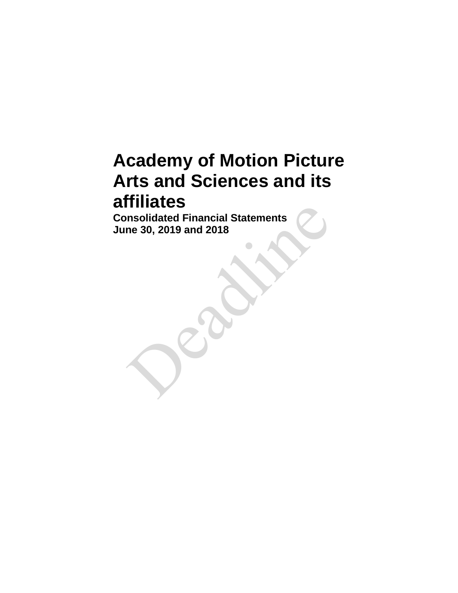# **Academy of Motion Picture Arts and Sciences and its affiliates**

**Consolidated Financial Statements June 30, 2019 and 2018** Insolidated Financial Statements<br>ne 30, 2019 and 2018<br>Contractor of the Statements<br>Contractor of the Statements<br>Contractor of the Statements<br>Contractor of the Statements<br>Contractor of the Statements<br>Contractor of the State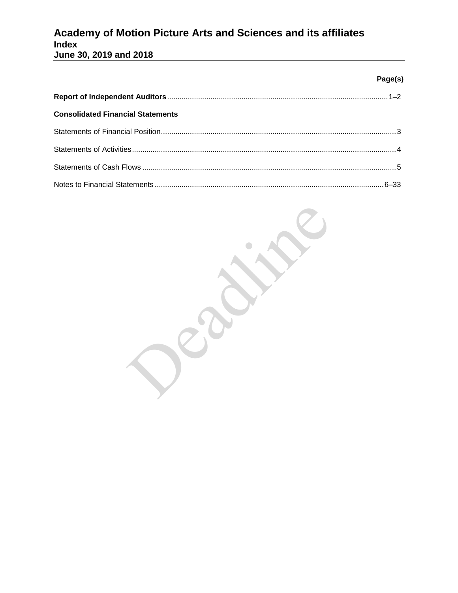## **Academy of Motion Picture Arts and Sciences and its affiliates Index**

**June 30, 2019 and 2018**

| œ<br>Ω |
|--------|
|--------|

| <b>Consolidated Financial Statements</b> |  |
|------------------------------------------|--|
|                                          |  |
|                                          |  |
|                                          |  |
|                                          |  |

Deadlished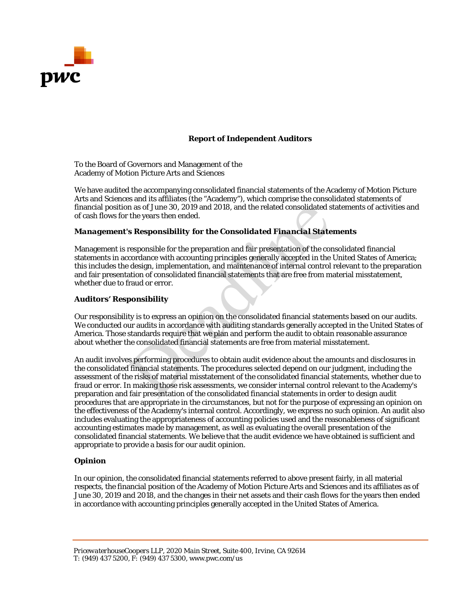

#### **Report of Independent Auditors**

To the Board of Governors and Management of the Academy of Motion Picture Arts and Sciences

We have audited the accompanying consolidated financial statements of the Academy of Motion Picture Arts and Sciences and its affiliates (the "Academy"), which comprise the consolidated statements of financial position as of June 30, 2019 and 2018, and the related consolidated statements of activities and of cash flows for the years then ended.

#### *Management's Responsibility for the Consolidated Financial Statements*

Management is responsible for the preparation and fair presentation of the consolidated financial statements in accordance with accounting principles generally accepted in the United States of America; this includes the design, implementation, and maintenance of internal control relevant to the preparation and fair presentation of consolidated financial statements that are free from material misstatement, whether due to fraud or error.

#### *Auditors' Responsibility*

Our responsibility is to express an opinion on the consolidated financial statements based on our audits. We conducted our audits in accordance with auditing standards generally accepted in the United States of America. Those standards require that we plan and perform the audit to obtain reasonable assurance about whether the consolidated financial statements are free from material misstatement.

An audit involves performing procedures to obtain audit evidence about the amounts and disclosures in the consolidated financial statements. The procedures selected depend on our judgment, including the assessment of the risks of material misstatement of the consolidated financial statements, whether due to fraud or error. In making those risk assessments, we consider internal control relevant to the Academy's preparation and fair presentation of the consolidated financial statements in order to design audit procedures that are appropriate in the circumstances, but not for the purpose of expressing an opinion on the effectiveness of the Academy's internal control. Accordingly, we express no such opinion. An audit also includes evaluating the appropriateness of accounting policies used and the reasonableness of significant accounting estimates made by management, as well as evaluating the overall presentation of the consolidated financial statements. We believe that the audit evidence we have obtained is sufficient and appropriate to provide a basis for our audit opinion. or as of June 30, 2019 and 2018, and the related consolidated s<br>
the years then ended.<br>
"**s Responsibility for the Consolidated Financial State**<br>
responsible for the preparation and fair presentation of the correct<br>
crocod

#### *Opinion*

In our opinion, the consolidated financial statements referred to above present fairly, in all material respects, the financial position of the Academy of Motion Picture Arts and Sciences and its affiliates as of June 30, 2019 and 2018, and the changes in their net assets and their cash flows for the years then ended in accordance with accounting principles generally accepted in the United States of America.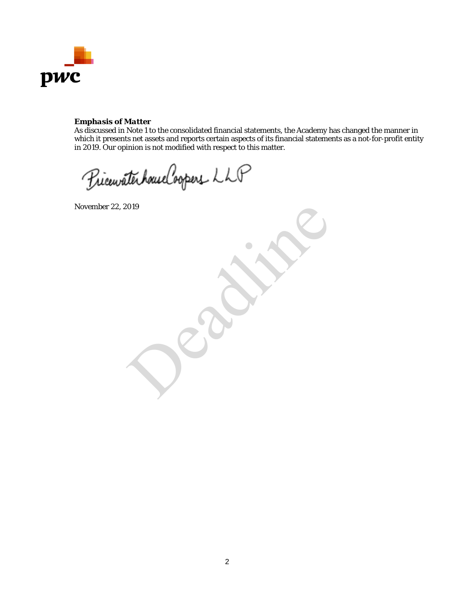

#### *Emphasis of Matter*

As discussed in Note 1 to the consolidated financial statements, the Academy has changed the manner in which it presents net assets and reports certain aspects of its financial statements as a not-for-profit entity in 2019. Our opinion is not modified with respect to this matter.

Pricewaterhouse Coopers LLP

November 22, 2019

**Deadlines**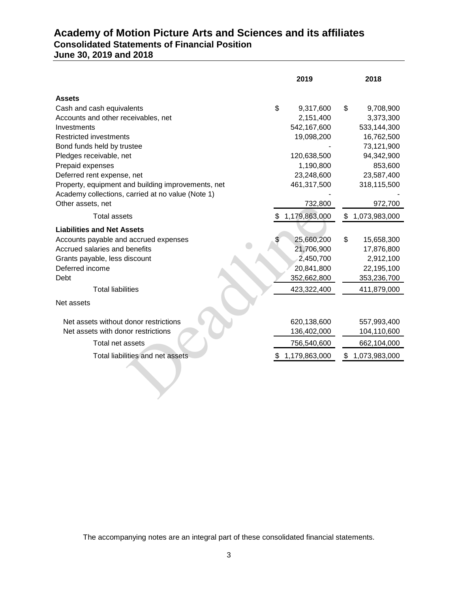## **Academy of Motion Picture Arts and Sciences and its affiliates Consolidated Statements of Financial Position**

|  | June 30, 2019 and 2018 |  |  |  |  |
|--|------------------------|--|--|--|--|
|--|------------------------|--|--|--|--|

|                                                    | 2019            | 2018                |
|----------------------------------------------------|-----------------|---------------------|
| <b>Assets</b>                                      |                 |                     |
| Cash and cash equivalents                          | \$<br>9,317,600 | \$<br>9,708,900     |
| Accounts and other receivables, net                | 2,151,400       | 3,373,300           |
| Investments                                        | 542,167,600     | 533,144,300         |
| <b>Restricted investments</b>                      | 19,098,200      | 16,762,500          |
| Bond funds held by trustee                         |                 | 73,121,900          |
| Pledges receivable, net                            | 120,638,500     | 94,342,900          |
| Prepaid expenses                                   | 1,190,800       | 853,600             |
| Deferred rent expense, net                         | 23,248,600      | 23,587,400          |
| Property, equipment and building improvements, net | 461,317,500     | 318,115,500         |
| Academy collections, carried at no value (Note 1)  |                 |                     |
| Other assets, net                                  | 732,800         | 972,700             |
| <b>Total assets</b>                                | 1,179,863,000   | \$<br>1,073,983,000 |
| <b>Liabilities and Net Assets</b>                  |                 |                     |
| Accounts payable and accrued expenses              | 25,660,200      | \$<br>15,658,300    |
| Accrued salaries and benefits                      | 21,706,900      | 17,876,800          |
| Grants payable, less discount                      | 2,450,700       | 2,912,100           |
| Deferred income                                    | 20,841,800      | 22,195,100          |
| Debt                                               | 352,662,800     | 353,236,700         |
| <b>Total liabilities</b>                           | 423,322,400     | 411,879,000         |
| Net assets                                         |                 |                     |
| Net assets without donor restrictions              | 620,138,600     | 557,993,400         |
| Net assets with donor restrictions                 | 136,402,000     | 104,110,600         |
| Total net assets                                   | 756,540,600     | 662,104,000         |
| Total liabilities and net assets                   | 1,179,863,000   | \$<br>1,073,983,000 |
|                                                    |                 |                     |

The accompanying notes are an integral part of these consolidated financial statements.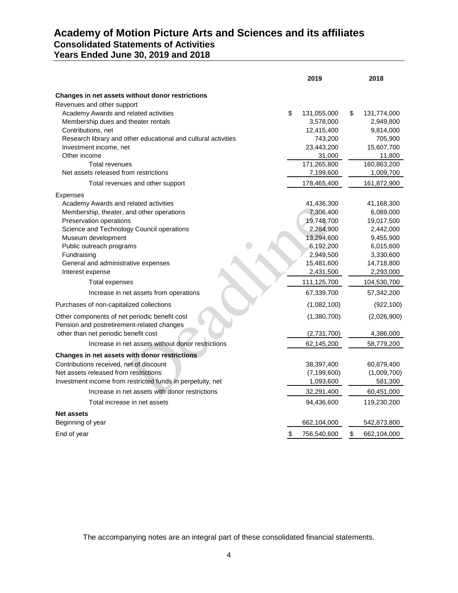## **Academy of Motion Picture Arts and Sciences and its affiliates Consolidated Statements of Activities Years Ended June 30, 2019 and 2018**

|                                                                                             | 2019              | 2018              |
|---------------------------------------------------------------------------------------------|-------------------|-------------------|
| Changes in net assets without donor restrictions                                            |                   |                   |
| Revenues and other support                                                                  |                   |                   |
| Academy Awards and related activities                                                       | \$<br>131,055,000 | \$<br>131,774,000 |
| Membership dues and theater rentals                                                         | 3,578,000         | 2,949,800         |
| Contributions, net                                                                          | 12,415,400        | 9,814,000         |
| Research library and other educational and cultural activities                              | 743,200           | 705,900           |
| Investment income, net                                                                      | 23,443,200        | 15,607,700        |
| Other income                                                                                | 31,000            | 11,800            |
| <b>Total revenues</b>                                                                       | 171,265,800       | 160,863,200       |
| Net assets released from restrictions                                                       | 7,199,600         | 1,009,700         |
| Total revenues and other support                                                            | 178,465,400       | 161,872,900       |
| <b>Expenses</b>                                                                             |                   |                   |
| Academy Awards and related activities                                                       | 41,436,300        | 41,168,300        |
| Membership, theater, and other operations                                                   | 7,306,400         | 6,089,000         |
| Preservation operations                                                                     | 19,748,700        | 19,017,500        |
| Science and Technology Council operations                                                   | 2,284,900         | 2,442,000         |
| Museum development                                                                          | 13,294,600        | 9,455,900         |
| Public outreach programs                                                                    | 6,192,200         | 6,015,600         |
| Fundraising                                                                                 | 2,949,500         | 3,330,600         |
| General and administrative expenses                                                         | 15,481,600        | 14,718,800        |
| Interest expense                                                                            | 2,431,500         | 2,293,000         |
| <b>Total expenses</b>                                                                       | 111,125,700       | 104,530,700       |
| Increase in net assets from operations                                                      | 67,339,700        | 57,342,200        |
| Purchases of non-capitalized collections                                                    | (1,082,100)       | (922, 100)        |
| Other components of net periodic benefit cost<br>Pension and postretirement-related changes | (1,380,700)       | (2,026,900)       |
| other than net periodic benefit cost                                                        | (2,731,700)       | 4,386,000         |
| Increase in net assets without donor restrictions                                           | 62,145,200        | 58,779,200        |
| Changes in net assets with donor restrictions                                               |                   |                   |
| Contributions received, net of discount                                                     | 38,397,400        | 60,879,400        |
| Net assets released from restrictions                                                       | (7, 199, 600)     | (1,009,700)       |
| Investment income from restricted funds in perpetuity, net                                  | 1,093,600         | 581,300           |
| Increase in net assets with donor restrictions                                              | 32,291,400        | 60,451,000        |
| Total increase in net assets                                                                | 94,436,600        | 119,230,200       |
| <b>Net assets</b>                                                                           |                   |                   |
| Beginning of year                                                                           | 662,104,000       | 542,873,800       |
| End of year                                                                                 | \$<br>756,540,600 | \$<br>662,104,000 |

The accompanying notes are an integral part of these consolidated financial statements.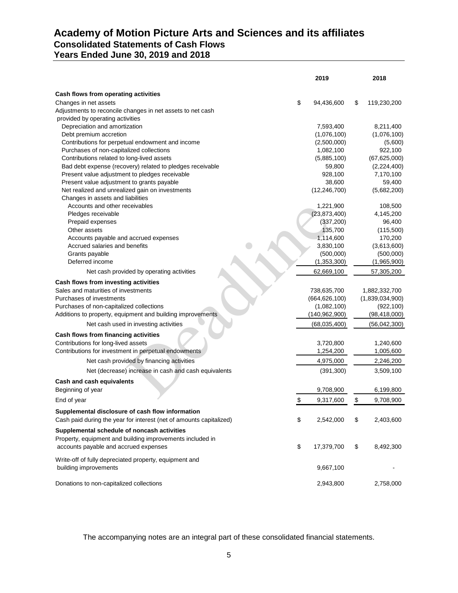## **Academy of Motion Picture Arts and Sciences and its affiliates Consolidated Statements of Cash Flows Years Ended June 30, 2019 and 2018**

|                                                                     | 2019                      | 2018                 |
|---------------------------------------------------------------------|---------------------------|----------------------|
| Cash flows from operating activities                                |                           |                      |
| Changes in net assets                                               | \$<br>94,436,600          | \$<br>119,230,200    |
| Adjustments to reconcile changes in net assets to net cash          |                           |                      |
| provided by operating activities                                    |                           |                      |
| Depreciation and amortization                                       | 7,593,400                 | 8,211,400            |
| Debt premium accretion                                              | (1,076,100)               | (1,076,100)          |
| Contributions for perpetual endowment and income                    | (2,500,000)               | (5,600)              |
| Purchases of non-capitalized collections                            | 1,082,100                 | 922,100              |
| Contributions related to long-lived assets                          | (5,885,100)               | (67, 625, 000)       |
| Bad debt expense (recovery) related to pledges receivable           | 59,800                    | (2,224,400)          |
| Present value adjustment to pledges receivable                      | 928,100                   | 7,170,100            |
| Present value adjustment to grants payable                          | 38,600                    | 59,400               |
| Net realized and unrealized gain on investments                     | (12, 246, 700)            | (5,682,200)          |
| Changes in assets and liabilities<br>Accounts and other receivables |                           |                      |
| Pledges receivable                                                  | 1,221,900<br>(23,873,400) | 108,500<br>4,145,200 |
| Prepaid expenses                                                    | (337, 200)                | 96,400               |
| Other assets                                                        | 135,700                   | (115,500)            |
| Accounts payable and accrued expenses                               | 1,114,600                 | 170,200              |
| Accrued salaries and benefits                                       | 3,830,100                 | (3,613,600)          |
| Grants payable                                                      | (500,000)                 | (500,000)            |
| Deferred income                                                     | (1,353,300)               | (1,965,900)          |
| Net cash provided by operating activities                           | 62,669,100                | 57,305,200           |
| Cash flows from investing activities                                |                           |                      |
| Sales and maturities of investments                                 | 738,635,700               | 1,882,332,700        |
| Purchases of investments                                            | (664, 626, 100)           | (1,839,034,900)      |
| Purchases of non-capitalized collections                            | (1,082,100)               | (922, 100)           |
| Additions to property, equipment and building improvements          | (140, 962, 900)           | (98, 418, 000)       |
| Net cash used in investing activities                               | (68,035,400)              | (56,042,300)         |
| Cash flows from financing activities                                |                           |                      |
| Contributions for long-lived assets                                 | 3,720,800                 | 1,240,600            |
| Contributions for investment in perpetual endowments                | 1,254,200                 | 1,005,600            |
| Net cash provided by financing activities                           | 4,975,000                 | 2,246,200            |
| Net (decrease) increase in cash and cash equivalents                | (391, 300)                | 3,509,100            |
| Cash and cash equivalents                                           |                           |                      |
| Beginning of year                                                   | 9,708,900                 | 6,199,800            |
| End of year                                                         | \$<br>9,317,600           | \$<br>9,708,900      |
| Supplemental disclosure of cash flow information                    |                           |                      |
| Cash paid during the year for interest (net of amounts capitalized) | \$<br>2,542,000           | \$<br>2,403,600      |
| Supplemental schedule of noncash activities                         |                           |                      |
| Property, equipment and building improvements included in           |                           |                      |
| accounts payable and accrued expenses                               | \$<br>17,379,700          | \$<br>8,492,300      |
| Write-off of fully depreciated property, equipment and              |                           |                      |
| building improvements                                               | 9,667,100                 |                      |
|                                                                     |                           |                      |
| Donations to non-capitalized collections                            | 2,943,800                 | 2,758,000            |

The accompanying notes are an integral part of these consolidated financial statements.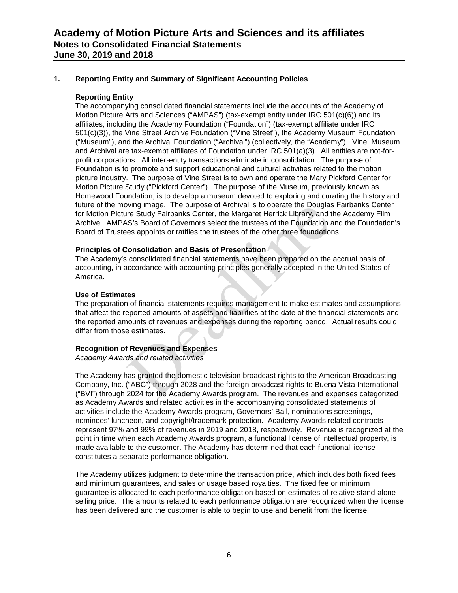#### **1. Reporting Entity and Summary of Significant Accounting Policies**

#### **Reporting Entity**

The accompanying consolidated financial statements include the accounts of the Academy of Motion Picture Arts and Sciences ("AMPAS") (tax-exempt entity under IRC 501(c)(6)) and its affiliates, including the Academy Foundation ("Foundation") (tax-exempt affiliate under IRC 501(c)(3)), the Vine Street Archive Foundation ("Vine Street"), the Academy Museum Foundation ("Museum"), and the Archival Foundation ("Archival") (collectively, the "Academy"). Vine, Museum and Archival are tax-exempt affiliates of Foundation under IRC 501(a)(3). All entities are not-forprofit corporations. All inter-entity transactions eliminate in consolidation. The purpose of Foundation is to promote and support educational and cultural activities related to the motion picture industry. The purpose of Vine Street is to own and operate the Mary Pickford Center for Motion Picture Study ("Pickford Center"). The purpose of the Museum, previously known as Homewood Foundation, is to develop a museum devoted to exploring and curating the history and future of the moving image. The purpose of Archival is to operate the Douglas Fairbanks Center for Motion Picture Study Fairbanks Center, the Margaret Herrick Library, and the Academy Film Archive. AMPAS's Board of Governors select the trustees of the Foundation and the Foundation's Board of Trustees appoints or ratifies the trustees of the other three foundations.

#### **Principles of Consolidation and Basis of Presentation**

The Academy's consolidated financial statements have been prepared on the accrual basis of accounting, in accordance with accounting principles generally accepted in the United States of America.

#### **Use of Estimates**

The preparation of financial statements requires management to make estimates and assumptions that affect the reported amounts of assets and liabilities at the date of the financial statements and the reported amounts of revenues and expenses during the reporting period. Actual results could differ from those estimates. by Fairbanks Center, the Margaret Herick Library, and the Subjecture Study Fairbanks Center, the Margaret Herick Library, and SS's Board of Governors select the trustees of the Foundation is essepoints or ratifies the trus

#### **Recognition of Revenues and Expenses**

*Academy Awards and related activities*

The Academy has granted the domestic television broadcast rights to the American Broadcasting Company, Inc. ("ABC") through 2028 and the foreign broadcast rights to Buena Vista International ("BVI") through 2024 for the Academy Awards program. The revenues and expenses categorized as Academy Awards and related activities in the accompanying consolidated statements of activities include the Academy Awards program, Governors' Ball, nominations screenings, nominees' luncheon, and copyright/trademark protection. Academy Awards related contracts represent 97% and 99% of revenues in 2019 and 2018, respectively. Revenue is recognized at the point in time when each Academy Awards program, a functional license of intellectual property, is made available to the customer. The Academy has determined that each functional license constitutes a separate performance obligation.

The Academy utilizes judgment to determine the transaction price, which includes both fixed fees and minimum guarantees, and sales or usage based royalties. The fixed fee or minimum guarantee is allocated to each performance obligation based on estimates of relative stand-alone selling price. The amounts related to each performance obligation are recognized when the license has been delivered and the customer is able to begin to use and benefit from the license.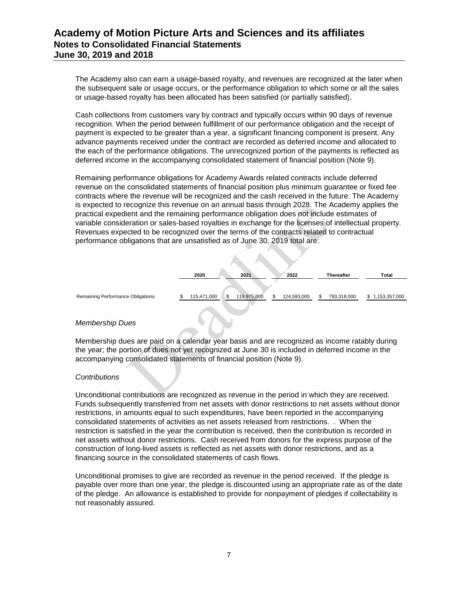The Academy also can earn a usage-based royalty, and revenues are recognized at the later when the subsequent sale or usage occurs, or the performance obligation to which some or all the sales or usage-based royalty has been allocated has been satisfied (or partially satisfied).

Cash collections from customers vary by contract and typically occurs within 90 days of revenue recognition. When the period between fulfillment of our performance obligation and the receipt of payment is expected to be greater than a year, a significant financing component is present. Any advance payments received under the contract are recorded as deferred income and allocated to the each of the performance obligations. The unrecognized portion of the payments is reflected as deferred income in the accompanying consolidated statement of financial position (Note 9).

Remaining performance obligations for Academy Awards related contracts include deferred revenue on the consolidated statements of financial position plus minimum guarantee or fixed fee contracts where the revenue will be recognized and the cash received in the future. The Academy is expected to recognize this revenue on an annual basis through 2028. The Academy applies the practical expedient and the remaining performance obligation does not include estimates of variable consideration or sales-based royalties in exchange for the licenses of intellectual property. Revenues expected to be recognized over the terms of the contracts related to contractual performance obligations that are unsatisfied as of June 30, 2019 total are: ecognize this revenue on an annual basis through 2028. The *F*<br>eration or sales-based royalties in exchange for the licenses of<br>eration or sales-based royalties in exchange for the licenses of<br>cited to be recognized over t

|                                   | 2020        | 2021              | 2022        | <b>Thereafter</b> | <b>Total</b>  |
|-----------------------------------|-------------|-------------------|-------------|-------------------|---------------|
| Remaining Performance Obligations | 115,471,000 | \$<br>119,975,000 | 124,593,000 | 793,318,000       | 1,153,357,000 |

#### *Membership Dues*

Membership dues are paid on a calendar year basis and are recognized as income ratably during the year; the portion of dues not yet recognized at June 30 is included in deferred income in the accompanying consolidated statements of financial position (Note 9).

#### *Contributions*

Unconditional contributions are recognized as revenue in the period in which they are received. Funds subsequently transferred from net assets with donor restrictions to net assets without donor restrictions, in amounts equal to such expenditures, have been reported in the accompanying consolidated statements of activities as net assets released from restrictions. . When the restriction is satisfied in the year the contribution is received, then the contribution is recorded in net assets without donor restrictions. Cash received from donors for the express purpose of the construction of long-lived assets is reflected as net assets with donor restrictions, and as a financing source in the consolidated statements of cash flows.

Unconditional promises to give are recorded as revenue in the period received. If the pledge is payable over more than one year, the pledge is discounted using an appropriate rate as of the date of the pledge. An allowance is established to provide for nonpayment of pledges if collectability is not reasonably assured.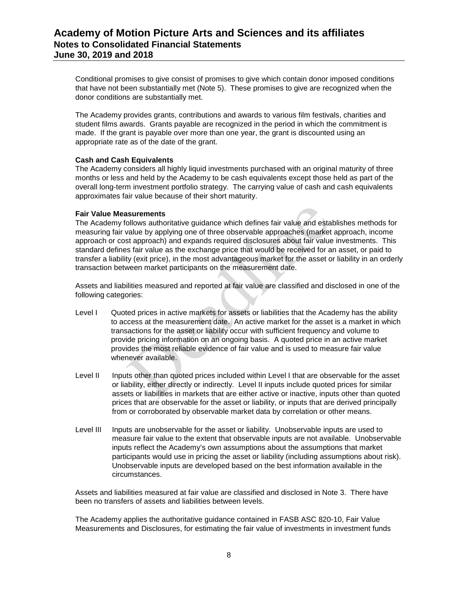Conditional promises to give consist of promises to give which contain donor imposed conditions that have not been substantially met (Note 5). These promises to give are recognized when the donor conditions are substantially met.

The Academy provides grants, contributions and awards to various film festivals, charities and student films awards. Grants payable are recognized in the period in which the commitment is made. If the grant is payable over more than one year, the grant is discounted using an appropriate rate as of the date of the grant.

#### **Cash and Cash Equivalents**

The Academy considers all highly liquid investments purchased with an original maturity of three months or less and held by the Academy to be cash equivalents except those held as part of the overall long-term investment portfolio strategy. The carrying value of cash and cash equivalents approximates fair value because of their short maturity.

#### **Fair Value Measurements**

The Academy follows authoritative guidance which defines fair value and establishes methods for measuring fair value by applying one of three observable approaches (market approach, income approach or cost approach) and expands required disclosures about fair value investments. This standard defines fair value as the exchange price that would be received for an asset, or paid to transfer a liability (exit price), in the most advantageous market for the asset or liability in an orderly transaction between market participants on the measurement date.

Assets and liabilities measured and reported at fair value are classified and disclosed in one of the following categories:

- Level I Quoted prices in active markets for assets or liabilities that the Academy has the ability to access at the measurement date. An active market for the asset is a market in which transactions for the asset or liability occur with sufficient frequency and volume to provide pricing information on an ongoing basis. A quoted price in an active market provides the most reliable evidence of fair value and is used to measure fair value whenever available. **Insurements**<br>Insurements<br>Inclows authoritative guidance which defines fair value and esta<br>value by applying one of three observable approaches (market<br>st approach) and expands required disclosures about fair value<br>is fair
- Level II Inputs other than quoted prices included within Level I that are observable for the asset or liability, either directly or indirectly. Level II inputs include quoted prices for similar assets or liabilities in markets that are either active or inactive, inputs other than quoted prices that are observable for the asset or liability, or inputs that are derived principally from or corroborated by observable market data by correlation or other means.
- Level III Inputs are unobservable for the asset or liability. Unobservable inputs are used to measure fair value to the extent that observable inputs are not available. Unobservable inputs reflect the Academy's own assumptions about the assumptions that market participants would use in pricing the asset or liability (including assumptions about risk). Unobservable inputs are developed based on the best information available in the circumstances.

Assets and liabilities measured at fair value are classified and disclosed in Note 3. There have been no transfers of assets and liabilities between levels.

The Academy applies the authoritative guidance contained in FASB ASC 820-10, Fair Value Measurements and Disclosures, for estimating the fair value of investments in investment funds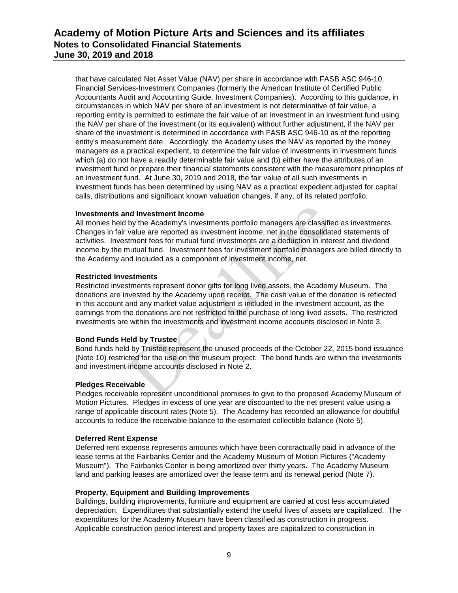that have calculated Net Asset Value (NAV) per share in accordance with FASB ASC 946-10, Financial Services-Investment Companies (formerly the American Institute of Certified Public Accountants Audit and Accounting Guide, Investment Companies). According to this guidance, in circumstances in which NAV per share of an investment is not determinative of fair value, a reporting entity is permitted to estimate the fair value of an investment in an investment fund using the NAV per share of the investment (or its equivalent) without further adjustment, if the NAV per share of the investment is determined in accordance with FASB ASC 946-10 as of the reporting entity's measurement date. Accordingly, the Academy uses the NAV as reported by the money managers as a practical expedient, to determine the fair value of investments in investment funds which (a) do not have a readily determinable fair value and (b) either have the attributes of an investment fund or prepare their financial statements consistent with the measurement principles of an investment fund. At June 30, 2019 and 2018, the fair value of all such investments in investment funds has been determined by using NAV as a practical expedient adjusted for capital calls, distributions and significant known valuation changes, if any, of its related portfolio.

#### **Investments and Investment Income**

All monies held by the Academy's investments portfolio managers are classified as investments. Changes in fair value are reported as investment income, net in the consolidated statements of activities. Investment fees for mutual fund investments are a deduction in interest and dividend income by the mutual fund. Investment fees for investment portfolio managers are billed directly to the Academy and included as a component of investment income, net.

#### **Restricted Investments**

Restricted investments represent donor gifts for long lived assets, the Academy Museum. The donations are invested by the Academy upon receipt. The cash value of the donation is reflected in this account and any market value adjustment is included in the investment account, as the earnings from the donations are not restricted to the purchase of long lived assets. The restricted investments are within the investments and investment income accounts disclosed in Note 3. nd Investment Income<br>by the Academy's investments portfolio managers are classific<br>value are reported as investment income, net in the consolidat<br>strment fees for mutual fund investments are a deduction in inte<br>mutual fund

#### **Bond Funds Held by Trustee**

Bond funds held by Trustee represent the unused proceeds of the October 22, 2015 bond issuance (Note 10) restricted for the use on the museum project. The bond funds are within the investments and investment income accounts disclosed in Note 2.

#### **Pledges Receivable**

Pledges receivable represent unconditional promises to give to the proposed Academy Museum of Motion Pictures. Pledges in excess of one year are discounted to the net present value using a range of applicable discount rates (Note 5). The Academy has recorded an allowance for doubtful accounts to reduce the receivable balance to the estimated collectible balance (Note 5).

#### **Deferred Rent Expense**

Deferred rent expense represents amounts which have been contractually paid in advance of the lease terms at the Fairbanks Center and the Academy Museum of Motion Pictures ("Academy Museum"). The Fairbanks Center is being amortized over thirty years. The Academy Museum land and parking leases are amortized over the lease term and its renewal period (Note 7).

#### **Property, Equipment and Building Improvements**

Buildings, building improvements, furniture and equipment are carried at cost less accumulated depreciation. Expenditures that substantially extend the useful lives of assets are capitalized. The expenditures for the Academy Museum have been classified as construction in progress. Applicable construction period interest and property taxes are capitalized to construction in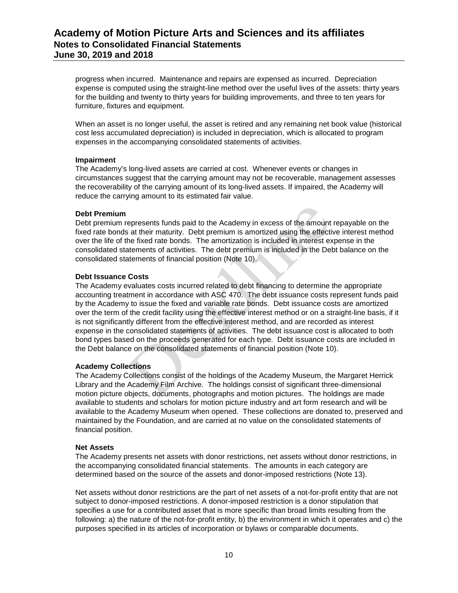progress when incurred. Maintenance and repairs are expensed as incurred. Depreciation expense is computed using the straight-line method over the useful lives of the assets: thirty years for the building and twenty to thirty years for building improvements, and three to ten years for furniture, fixtures and equipment.

When an asset is no longer useful, the asset is retired and any remaining net book value (historical cost less accumulated depreciation) is included in depreciation, which is allocated to program expenses in the accompanying consolidated statements of activities.

#### **Impairment**

The Academy's long-lived assets are carried at cost. Whenever events or changes in circumstances suggest that the carrying amount may not be recoverable, management assesses the recoverability of the carrying amount of its long-lived assets. If impaired, the Academy will reduce the carrying amount to its estimated fair value.

#### **Debt Premium**

Debt premium represents funds paid to the Academy in excess of the amount repayable on the fixed rate bonds at their maturity. Debt premium is amortized using the effective interest method over the life of the fixed rate bonds. The amortization is included in interest expense in the consolidated statements of activities. The debt premium is included in the Debt balance on the consolidated statements of financial position (Note 10).

#### **Debt Issuance Costs**

The Academy evaluates costs incurred related to debt financing to determine the appropriate accounting treatment in accordance with ASC 470. The debt issuance costs represent funds paid by the Academy to issue the fixed and variable rate bonds. Debt issuance costs are amortized over the term of the credit facility using the effective interest method or on a straight-line basis, if it is not significantly different from the effective interest method, and are recorded as interest expense in the consolidated statements of activities. The debt issuance cost is allocated to both bond types based on the proceeds generated for each type. Debt issuance costs are included in the Debt balance on the consolidated statements of financial position (Note 10). represents funds paid to the Academy in excess of the amount<br>sat their maturity. Debt premium is amortized using the effecti<br>he fixed rate bonds. The amortization is included in interest ex<br>atements of activities. The debt

#### **Academy Collections**

The Academy Collections consist of the holdings of the Academy Museum, the Margaret Herrick Library and the Academy Film Archive. The holdings consist of significant three-dimensional motion picture objects, documents, photographs and motion pictures. The holdings are made available to students and scholars for motion picture industry and art form research and will be available to the Academy Museum when opened. These collections are donated to, preserved and maintained by the Foundation, and are carried at no value on the consolidated statements of financial position.

#### **Net Assets**

The Academy presents net assets with donor restrictions, net assets without donor restrictions, in the accompanying consolidated financial statements. The amounts in each category are determined based on the source of the assets and donor-imposed restrictions (Note 13).

Net assets without donor restrictions are the part of net assets of a not-for-profit entity that are not subject to donor-imposed restrictions. A donor-imposed restriction is a donor stipulation that specifies a use for a contributed asset that is more specific than broad limits resulting from the following: a) the nature of the not-for-profit entity, b) the environment in which it operates and c) the purposes specified in its articles of incorporation or bylaws or comparable documents.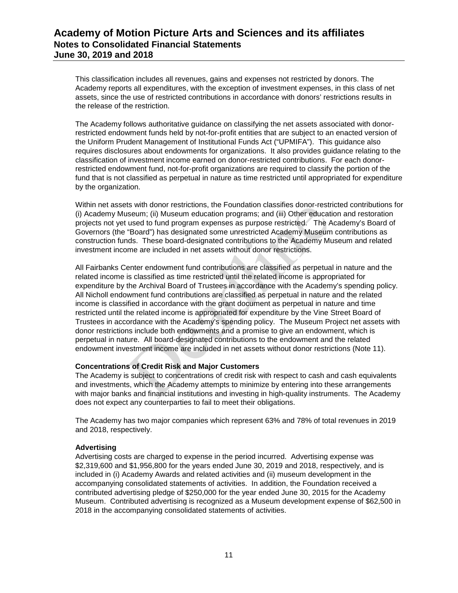This classification includes all revenues, gains and expenses not restricted by donors. The Academy reports all expenditures, with the exception of investment expenses, in this class of net assets, since the use of restricted contributions in accordance with donors' restrictions results in the release of the restriction.

The Academy follows authoritative guidance on classifying the net assets associated with donorrestricted endowment funds held by not-for-profit entities that are subject to an enacted version of the Uniform Prudent Management of Institutional Funds Act ("UPMIFA"). This guidance also requires disclosures about endowments for organizations. It also provides guidance relating to the classification of investment income earned on donor-restricted contributions. For each donorrestricted endowment fund, not-for-profit organizations are required to classify the portion of the fund that is not classified as perpetual in nature as time restricted until appropriated for expenditure by the organization.

Within net assets with donor restrictions, the Foundation classifies donor-restricted contributions for (i) Academy Museum; (ii) Museum education programs; and (iii) Other education and restoration projects not yet used to fund program expenses as purpose restricted. The Academy's Board of Governors (the "Board") has designated some unrestricted Academy Museum contributions as construction funds. These board-designated contributions to the Academy Museum and related investment income are included in net assets without donor restrictions.

All Fairbanks Center endowment fund contributions are classified as perpetual in nature and the related income is classified as time restricted until the related income is appropriated for expenditure by the Archival Board of Trustees in accordance with the Academy's spending policy. All Nicholl endowment fund contributions are classified as perpetual in nature and the related income is classified in accordance with the grant document as perpetual in nature and time restricted until the related income is appropriated for expenditure by the Vine Street Board of Trustees in accordance with the Academy's spending policy. The Museum Project net assets with donor restrictions include both endowments and a promise to give an endowment, which is perpetual in nature. All board-designated contributions to the endowment and the related endowment investment income are included in net assets without donor restrictions (Note 11). Its with donor restrictions, the Poundation classifies donor-restrations (iii) office reducation programs; and (iii) Other education programs and the "Board") has designated some unrestricted. The A "Board") has designated

#### **Concentrations of Credit Risk and Major Customers**

The Academy is subject to concentrations of credit risk with respect to cash and cash equivalents and investments, which the Academy attempts to minimize by entering into these arrangements with major banks and financial institutions and investing in high-quality instruments. The Academy does not expect any counterparties to fail to meet their obligations.

The Academy has two major companies which represent 63% and 78% of total revenues in 2019 and 2018, respectively.

#### **Advertising**

Advertising costs are charged to expense in the period incurred. Advertising expense was \$2,319,600 and \$1,956,800 for the years ended June 30, 2019 and 2018, respectively, and is included in (i) Academy Awards and related activities and (ii) museum development in the accompanying consolidated statements of activities. In addition, the Foundation received a contributed advertising pledge of \$250,000 for the year ended June 30, 2015 for the Academy Museum. Contributed advertising is recognized as a Museum development expense of \$62,500 in 2018 in the accompanying consolidated statements of activities.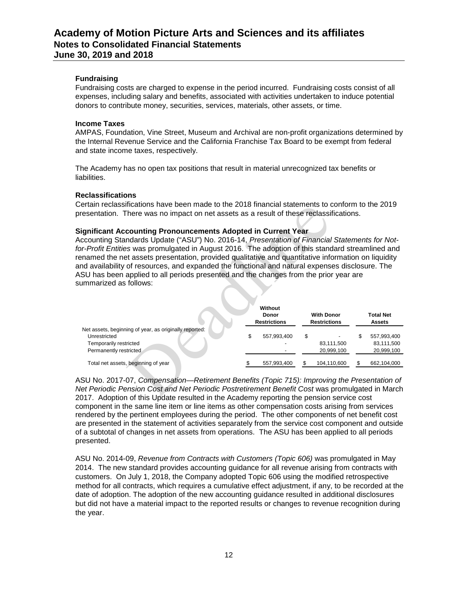#### **Fundraising**

Fundraising costs are charged to expense in the period incurred. Fundraising costs consist of all expenses, including salary and benefits, associated with activities undertaken to induce potential donors to contribute money, securities, services, materials, other assets, or time.

#### **Income Taxes**

AMPAS, Foundation, Vine Street, Museum and Archival are non-profit organizations determined by the Internal Revenue Service and the California Franchise Tax Board to be exempt from federal and state income taxes, respectively.

The Academy has no open tax positions that result in material unrecognized tax benefits or liabilities.

#### **Reclassifications**

Certain reclassifications have been made to the 2018 financial statements to conform to the 2019 presentation. There was no impact on net assets as a result of these reclassifications.

#### **Significant Accounting Pronouncements Adopted in Current Year**

| erialiti reclassifications have been made to the 2018 illiancial statements to conform to the 2019.<br>resentation. There was no impact on net assets as a result of these reclassifications.                                                                                                                                                                                                                                                                                                                                                                                               |    |                                                |    |                                          |    |                                         |
|---------------------------------------------------------------------------------------------------------------------------------------------------------------------------------------------------------------------------------------------------------------------------------------------------------------------------------------------------------------------------------------------------------------------------------------------------------------------------------------------------------------------------------------------------------------------------------------------|----|------------------------------------------------|----|------------------------------------------|----|-----------------------------------------|
| Significant Accounting Pronouncements Adopted in Current Year<br>ccounting Standards Update ("ASU") No. 2016-14, Presentation of Financial Statements for Not-<br>or-Profit Entities was promulgated in August 2016. The adoption of this standard streamlined and<br>enamed the net assets presentation, provided qualitative and quantitative information on liquidity<br>nd availability of resources, and expanded the functional and natural expenses disclosure. The<br>SU has been applied to all periods presented and the changes from the prior year are<br>ummarized as follows: |    |                                                |    |                                          |    |                                         |
|                                                                                                                                                                                                                                                                                                                                                                                                                                                                                                                                                                                             |    | Without<br><b>Donor</b><br><b>Restrictions</b> |    | <b>With Donor</b><br><b>Restrictions</b> |    | <b>Total Net</b><br><b>Assets</b>       |
| Net assets, beginning of year, as originally reported:<br>Unrestricted<br><b>Temporarily restricted</b><br>Permanently restricted                                                                                                                                                                                                                                                                                                                                                                                                                                                           | \$ | 557,993,400                                    | \$ | 83,111,500<br>20,999,100                 | \$ | 557,993,400<br>83,111,500<br>20,999,100 |
| Total net assets, beginning of year                                                                                                                                                                                                                                                                                                                                                                                                                                                                                                                                                         |    | 557,993,400                                    | \$ | 104,110,600                              | S  | 662,104,000                             |
| SU No. 2017-07, Compensation—Retirement Benefits (Topic 715): Improving the Presentation of<br>let Periodic Pension Cost and Net Periodic Postretirement Benefit Cost was promulgated in March<br>017. Adoption of this Undate resulted in the Academy reporting the pension service cost                                                                                                                                                                                                                                                                                                   |    |                                                |    |                                          |    |                                         |

ASU No. 2017-07, *Compensation—Retirement Benefits (Topic 715): Improving the Presentation of Net Periodic Pension Cost and Net Periodic Postretirement Benefit Cost* was promulgated in March 2017. Adoption of this Update resulted in the Academy reporting the pension service cost component in the same line item or line items as other compensation costs arising from services rendered by the pertinent employees during the period. The other components of net benefit cost are presented in the statement of activities separately from the service cost component and outside of a subtotal of changes in net assets from operations.The ASU has been applied to all periods presented.

ASU No. 2014-09, *Revenue from Contracts with Customers (Topic 606)* was promulgated in May 2014. The new standard provides accounting guidance for all revenue arising from contracts with customers. On July 1, 2018, the Company adopted Topic 606 using the modified retrospective method for all contracts, which requires a cumulative effect adjustment, if any, to be recorded at the date of adoption. The adoption of the new accounting guidance resulted in additional disclosures but did not have a material impact to the reported results or changes to revenue recognition during the year.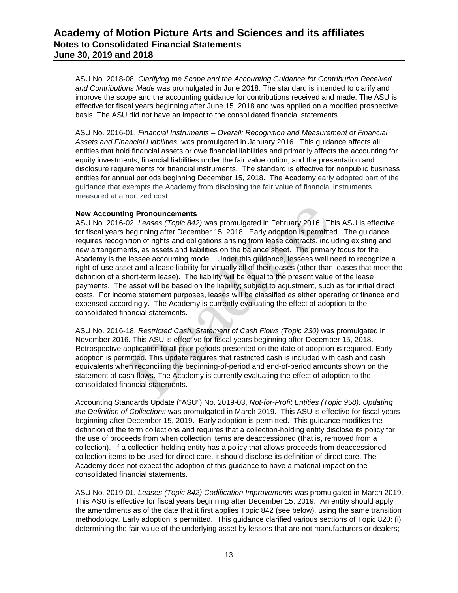ASU No. 2018-08, *Clarifying the Scope and the Accounting Guidance for Contribution Received and Contributions Made* was promulgated in June 2018. The standard is intended to clarify and improve the scope and the accounting guidance for contributions received and made. The ASU is effective for fiscal years beginning after June 15, 2018 and was applied on a modified prospective basis. The ASU did not have an impact to the consolidated financial statements.

ASU No. 2016-01, *Financial Instruments – Overall: Recognition and Measurement of Financial Assets and Financial Liabilities,* was promulgated in January 2016. This guidance affects all entities that hold financial assets or owe financial liabilities and primarily affects the accounting for equity investments, financial liabilities under the fair value option, and the presentation and disclosure requirements for financial instruments. The standard is effective for nonpublic business entities for annual periods beginning December 15, 2018. The Academy early adopted part of the guidance that exempts the Academy from disclosing the fair value of financial instruments measured at amortized cost.

#### **New Accounting Pronouncements**

ASU No. 2016-02, *Leases (Topic 842)* was promulgated in February 2016. This ASU is effective for fiscal years beginning after December 15, 2018. Early adoption is permitted. The guidance requires recognition of rights and obligations arising from lease contracts, including existing and new arrangements, as assets and liabilities on the balance sheet. The primary focus for the Academy is the lessee accounting model. Under this guidance, lessees well need to recognize a right-of-use asset and a lease liability for virtually all of their leases (other than leases that meet the definition of a short-term lease). The liability will be equal to the present value of the lease payments. The asset will be based on the liability; subject to adjustment, such as for initial direct costs. For income statement purposes, leases will be classified as either operating or finance and expensed accordingly. The Academy is currently evaluating the effect of adoption to the consolidated financial statements. ng Pronouncements<br>02, Leases (Topic 842) was promulgated in February 2016. Th<br>beginning after December 15, 2018. Early adoption is permitte<br>ition of rights and obligations arising from lease contracts, inclus<br>the sise acco

ASU No. 2016-18, *Restricted Cash, Statement of Cash Flows (Topic 230)* was promulgated in November 2016. This ASU is effective for fiscal years beginning after December 15, 2018. Retrospective application to all prior periods presented on the date of adoption is required. Early adoption is permitted. This update requires that restricted cash is included with cash and cash equivalents when reconciling the beginning-of-period and end-of-period amounts shown on the statement of cash flows. The Academy is currently evaluating the effect of adoption to the consolidated financial statements.

Accounting Standards Update ("ASU") No. 2019-03, *Not-for-Profit Entities (Topic 958): Updating the Definition of Collections* was promulgated in March 2019. This ASU is effective for fiscal years beginning after December 15, 2019. Early adoption is permitted. This guidance modifies the definition of the term collections and requires that a collection-holding entity disclose its policy for the use of proceeds from when collection items are deaccessioned (that is, removed from a collection). If a collection-holding entity has a policy that allows proceeds from deaccessioned collection items to be used for direct care, it should disclose its definition of direct care. The Academy does not expect the adoption of this guidance to have a material impact on the consolidated financial statements.

ASU No. 2019-01, *Leases (Topic 842) Codification Improvements* was promulgated in March 2019. This ASU is effective for fiscal years beginning after December 15, 2019. An entity should apply the amendments as of the date that it first applies Topic 842 (see below), using the same transition methodology. Early adoption is permitted. This guidance clarified various sections of Topic 820: (i) determining the fair value of the underlying asset by lessors that are not manufacturers or dealers;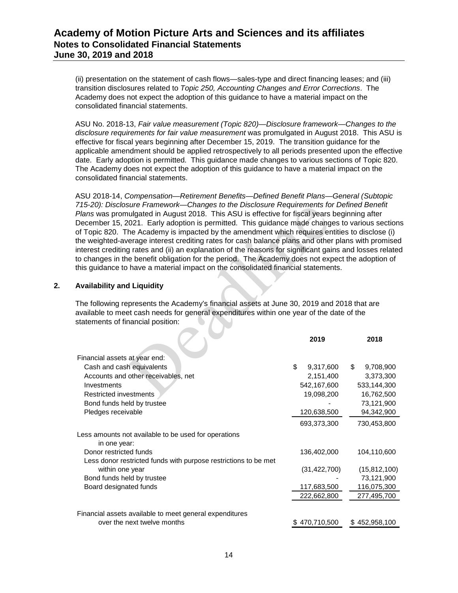(ii) presentation on the statement of cash flows—sales-type and direct financing leases; and (iii) transition disclosures related to *Topic 250, Accounting Changes and Error Corrections*. The Academy does not expect the adoption of this guidance to have a material impact on the consolidated financial statements.

ASU No. 2018-13, *Fair value measurement (Topic 820)—Disclosure framework—Changes to the disclosure requirements for fair value measurement* was promulgated in August 2018. This ASU is effective for fiscal years beginning after December 15, 2019. The transition guidance for the applicable amendment should be applied retrospectively to all periods presented upon the effective date. Early adoption is permitted. This guidance made changes to various sections of Topic 820. The Academy does not expect the adoption of this guidance to have a material impact on the consolidated financial statements.

ASU 2018-14, *Compensation—Retirement Benefits—Defined Benefit Plans—General (Subtopic 715-20): Disclosure Framework—Changes to the Disclosure Requirements for Defined Benefit Plans* was promulgated in August 2018. This ASU is effective for fiscal years beginning after December 15, 2021. Early adoption is permitted. This guidance made changes to various sections of Topic 820. The Academy is impacted by the amendment which requires entities to disclose (i) the weighted-average interest crediting rates for cash balance plans and other plans with promised interest crediting rates and (ii) an explanation of the reasons for significant gains and losses related to changes in the benefit obligation for the period. The Academy does not expect the adoption of this guidance to have a material impact on the consolidated financial statements. sure Framework—Changes to the Disclosure Requirements to<br>nulgated in August 2018. This ASU is effective for fiscal years<br>2021. Early adoption is permitted. This guidance made change<br>The Academy is impacted by the amendment

#### **2. Availability and Liquidity**

The following represents the Academy's financial assets at June 30, 2019 and 2018 that are available to meet cash needs for general expenditures within one year of the date of the statements of financial position:

|                                                                      | 2019            | 2018            |
|----------------------------------------------------------------------|-----------------|-----------------|
| Financial assets at year end:                                        |                 |                 |
| Cash and cash equivalents                                            | \$<br>9,317,600 | \$<br>9,708,900 |
| Accounts and other receivables, net                                  | 2,151,400       | 3,373,300       |
| Investments                                                          | 542,167,600     | 533,144,300     |
| Restricted investments                                               | 19,098,200      | 16,762,500      |
| Bond funds held by trustee                                           |                 | 73,121,900      |
| Pledges receivable                                                   | 120,638,500     | 94,342,900      |
|                                                                      | 693,373,300     | 730,453,800     |
| Less amounts not available to be used for operations<br>in one year: |                 |                 |
| Donor restricted funds                                               | 136,402,000     | 104,110,600     |
| Less donor restricted funds with purpose restrictions to be met      |                 |                 |
| within one year                                                      | (31, 422, 700)  | (15, 812, 100)  |
| Bond funds held by trustee                                           |                 | 73,121,900      |
| Board designated funds                                               | 117,683,500     | 116,075,300     |
|                                                                      | 222,662,800     | 277,495,700     |
| Financial assets available to meet general expenditures              |                 |                 |
| over the next twelve months                                          | \$470,710,500   | \$452,958,100   |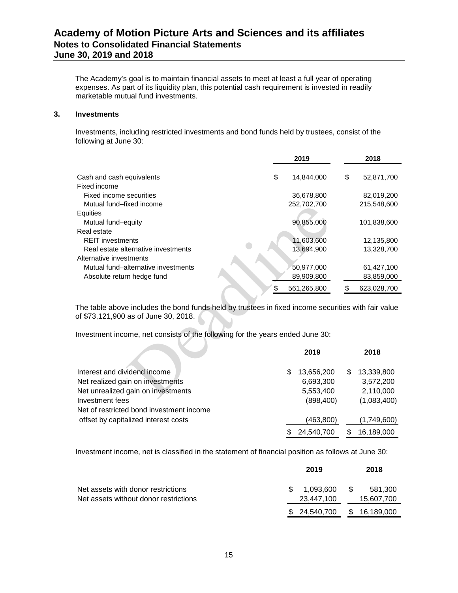The Academy's goal is to maintain financial assets to meet at least a full year of operating expenses. As part of its liquidity plan, this potential cash requirement is invested in readily marketable mutual fund investments.

#### **3. Investments**

Investments, including restricted investments and bond funds held by trustees, consist of the following at June 30:

|                                                                                                                                             | 2019              |    | 2018         |
|---------------------------------------------------------------------------------------------------------------------------------------------|-------------------|----|--------------|
| Cash and cash equivalents                                                                                                                   | \$<br>14,844,000  | \$ | 52,871,700   |
| Fixed income                                                                                                                                |                   |    |              |
| Fixed income securities                                                                                                                     | 36,678,800        |    | 82,019,200   |
| Mutual fund-fixed income                                                                                                                    | 252,702,700       |    | 215,548,600  |
| Equities                                                                                                                                    |                   |    |              |
| Mutual fund-equity                                                                                                                          | 90,855,000        |    | 101,838,600  |
| Real estate                                                                                                                                 |                   |    |              |
| <b>REIT investments</b>                                                                                                                     | 11,603,600        |    | 12,135,800   |
| Real estate alternative investments                                                                                                         | 13,694,900        |    | 13,328,700   |
| Alternative investments                                                                                                                     |                   |    |              |
| Mutual fund-alternative investments                                                                                                         | 50,977,000        |    | 61,427,100   |
| Absolute return hedge fund                                                                                                                  | 89,909,800        |    | 83,859,000   |
|                                                                                                                                             | \$<br>561,265,800 | \$ | 623,028,700  |
| The table above includes the bond funds held by trustees in fixed income securities with fair value<br>of \$73,121,900 as of June 30, 2018. |                   |    |              |
| Investment income, net consists of the following for the years ended June 30:                                                               |                   |    |              |
|                                                                                                                                             | 2019              |    | 2018         |
| Interest and dividend income                                                                                                                | \$<br>13,656,200  | \$ | 13,339,800   |
| Net realized gain on investments                                                                                                            | 6,693,300         |    | 3,572,200    |
| Net unrealized gain on investments                                                                                                          | 5,553,400         |    | 2,110,000    |
| . <b>. .</b>                                                                                                                                | (0.00, 100)       |    | (4.000, 400) |

|                                          |   | 2019       |   | 2018        |
|------------------------------------------|---|------------|---|-------------|
| Interest and dividend income             | S | 13,656,200 | S | 13,339,800  |
| Net realized gain on investments         |   | 6,693,300  |   | 3,572,200   |
| Net unrealized gain on investments       |   | 5,553,400  |   | 2,110,000   |
| Investment fees                          |   | (898, 400) |   | (1,083,400) |
| Net of restricted bond investment income |   |            |   |             |
| offset by capitalized interest costs     |   | (463,800)  |   | (1,749,600) |
|                                          | S | 24.540.700 |   | 16,189,000  |

Investment income, net is classified in the statement of financial position as follows at June 30:

|                                       |     | 2019          |     | 2018         |
|---------------------------------------|-----|---------------|-----|--------------|
| Net assets with donor restrictions    | SS. | 1.093.600     | -SS | 581.300      |
| Net assets without donor restrictions |     | 23,447,100    |     | 15,607,700   |
|                                       |     | \$ 24.540.700 |     | \$16,189,000 |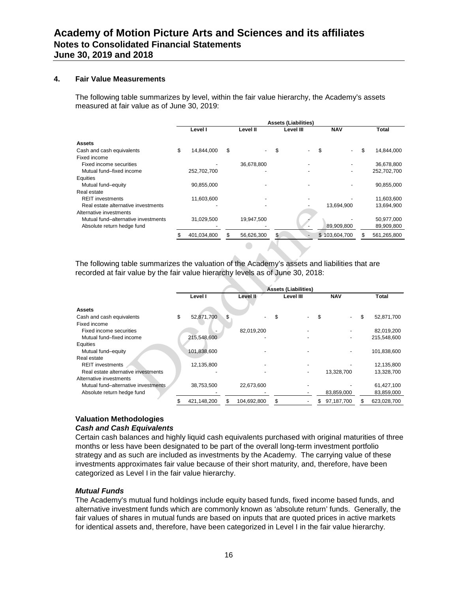#### **4. Fair Value Measurements**

The following table summarizes by level, within the fair value hierarchy, the Academy's assets measured at fair value as of June 30, 2019:

|                                     | <b>Assets (Liabilities)</b> |             |    |            |    |           |               |                  |
|-------------------------------------|-----------------------------|-------------|----|------------|----|-----------|---------------|------------------|
|                                     |                             | Level I     |    | Level II   |    | Level III | <b>NAV</b>    | Total            |
| <b>Assets</b>                       |                             |             |    |            |    |           |               |                  |
| Cash and cash equivalents           | \$                          | 14,844,000  | \$ |            | \$ | $\sim$    | \$            | \$<br>14,844,000 |
| Fixed income                        |                             |             |    |            |    |           |               |                  |
| Fixed income securities             |                             |             |    | 36,678,800 |    |           |               | 36,678,800       |
| Mutual fund-fixed income            |                             | 252,702,700 |    |            |    |           |               | 252,702,700      |
| Equities                            |                             |             |    |            |    |           |               |                  |
| Mutual fund-equity                  |                             | 90,855,000  |    |            |    |           |               | 90,855,000       |
| Real estate                         |                             |             |    |            |    |           |               |                  |
| <b>REIT</b> investments             |                             | 11,603,600  |    |            |    |           |               | 11,603,600       |
| Real estate alternative investments |                             |             |    |            |    |           | 13,694,900    | 13,694,900       |
| Alternative investments             |                             |             |    |            |    |           |               |                  |
| Mutual fund-alternative investments |                             | 31,029,500  |    | 19,947,500 |    |           |               | 50,977,000       |
| Absolute return hedge fund          |                             |             |    |            |    |           | 89,909,800    | 89,909,800       |
|                                     |                             | 401,034,800 |    | 56,626,300 | \$ |           | \$103,604,700 | 561,265,800      |

| Real estate alternative investments<br>Alternative investments                                |                  |    |             |                             | 13,694,900       |    | 13,694,900               |
|-----------------------------------------------------------------------------------------------|------------------|----|-------------|-----------------------------|------------------|----|--------------------------|
| Mutual fund-alternative investments<br>Absolute return hedge fund                             | 31,029,500       |    | 19,947,500  |                             | 89,909,800       |    | 50,977,000<br>89,909,800 |
|                                                                                               | 401,034,800      | S  | 56,626,300  | \$                          | \$103,604,700    | S  | 561,265,800              |
|                                                                                               |                  |    |             |                             |                  |    |                          |
| The following table summarizes the valuation of the Academy's assets and liabilities that are |                  |    |             |                             |                  |    |                          |
| recorded at fair value by the fair value hierarchy levels as of June 30, 2018:                |                  |    |             |                             |                  |    |                          |
|                                                                                               |                  |    |             | <b>Assets (Liabilities)</b> |                  |    |                          |
|                                                                                               | Level I          |    | Level II    | Level III                   | <b>NAV</b>       |    | <b>Total</b>             |
| <b>Assets</b>                                                                                 |                  |    |             |                             |                  |    |                          |
| Cash and cash equivalents                                                                     | \$<br>52,871,700 | \$ |             |                             | \$               | \$ | 52,871,700               |
| Fixed income<br>Fixed income securities                                                       |                  |    | 82,019,200  |                             |                  |    | 82,019,200               |
| Mutual fund-fixed income                                                                      | 215,548,600      |    |             |                             |                  |    | 215,548,600              |
| Equities                                                                                      |                  |    |             |                             |                  |    |                          |
| Mutual fund-equity                                                                            | 101,838,600      |    |             |                             |                  |    | 101,838,600              |
| Real estate                                                                                   |                  |    |             |                             |                  |    |                          |
| <b>REIT investments</b>                                                                       | 12,135,800       |    |             |                             |                  |    | 12,135,800               |
| Real estate alternative investments<br>Alternative investments                                |                  |    |             |                             | 13,328,700       |    | 13,328,700               |
| Mutual fund-alternative investments                                                           | 38,753,500       |    | 22,673,600  |                             |                  |    | 61,427,100               |
| Absolute return hedge fund                                                                    |                  |    |             |                             | 83,859,000       |    | 83,859,000               |
|                                                                                               | 421,148,200      | S  | 104,692,800 | \$                          | \$<br>97,187,700 |    | 623,028,700              |
|                                                                                               |                  |    |             |                             |                  |    |                          |

#### **Valuation Methodologies**  *Cash and Cash Equivalents*

Certain cash balances and highly liquid cash equivalents purchased with original maturities of three months or less have been designated to be part of the overall long-term investment portfolio strategy and as such are included as investments by the Academy. The carrying value of these investments approximates fair value because of their short maturity, and, therefore, have been categorized as Level I in the fair value hierarchy.

#### *Mutual Funds*

The Academy's mutual fund holdings include equity based funds, fixed income based funds, and alternative investment funds which are commonly known as 'absolute return' funds. Generally, the fair values of shares in mutual funds are based on inputs that are quoted prices in active markets for identical assets and, therefore, have been categorized in Level I in the fair value hierarchy.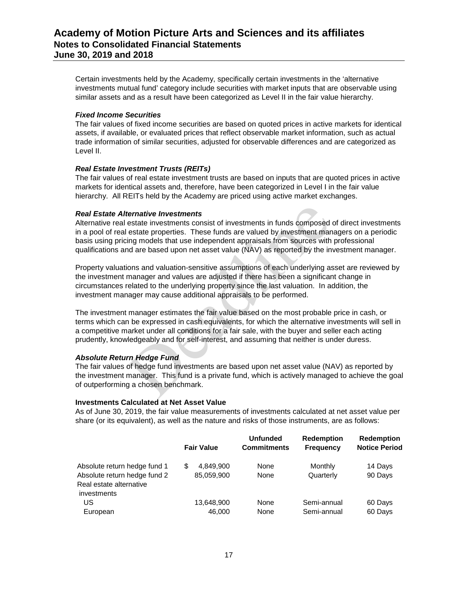Certain investments held by the Academy, specifically certain investments in the 'alternative investments mutual fund' category include securities with market inputs that are observable using similar assets and as a result have been categorized as Level II in the fair value hierarchy.

#### *Fixed Income Securities*

The fair values of fixed income securities are based on quoted prices in active markets for identical assets, if available, or evaluated prices that reflect observable market information, such as actual trade information of similar securities, adjusted for observable differences and are categorized as Level II.

#### *Real Estate Investment Trusts (REITs)*

The fair values of real estate investment trusts are based on inputs that are quoted prices in active markets for identical assets and, therefore, have been categorized in Level I in the fair value hierarchy. All REITs held by the Academy are priced using active market exchanges.

#### *Real Estate Alternative Investments*

Alternative real estate investments consist of investments in funds composed of direct investments in a pool of real estate properties. These funds are valued by investment managers on a periodic basis using pricing models that use independent appraisals from sources with professional qualifications and are based upon net asset value (NAV) as reported by the investment manager. **ternative Investments**<br>estate investments<br>estate investments consist of investments in funds composed<br>estate properties. These funds are valued by investment mar<br>ing models that use independent appraisals from sources wit

Property valuations and valuation-sensitive assumptions of each underlying asset are reviewed by the investment manager and values are adjusted if there has been a significant change in circumstances related to the underlying property since the last valuation. In addition, the investment manager may cause additional appraisals to be performed.

The investment manager estimates the fair value based on the most probable price in cash, or terms which can be expressed in cash equivalents, for which the alternative investments will sell in a competitive market under all conditions for a fair sale, with the buyer and seller each acting prudently, knowledgeably and for self-interest, and assuming that neither is under duress.

#### *Absolute Return Hedge Fund*

The fair values of hedge fund investments are based upon net asset value (NAV) as reported by the investment manager. This fund is a private fund, which is actively managed to achieve the goal of outperforming a chosen benchmark.

#### **Investments Calculated at Net Asset Value**

As of June 30, 2019, the fair value measurements of investments calculated at net asset value per share (or its equivalent), as well as the nature and risks of those instruments, are as follows:

|                                                              | <b>Fair Value</b>            | <b>Unfunded</b><br><b>Commitments</b> | <b>Redemption</b><br><b>Frequency</b> | <b>Redemption</b><br><b>Notice Period</b> |
|--------------------------------------------------------------|------------------------------|---------------------------------------|---------------------------------------|-------------------------------------------|
| Absolute return hedge fund 1<br>Absolute return hedge fund 2 | 4.849.900<br>S<br>85,059,900 | None<br>None                          | Monthly<br>Quarterly                  | 14 Days<br>90 Days                        |
| Real estate alternative<br>investments                       |                              |                                       |                                       |                                           |
| US                                                           | 13,648,900                   | None                                  | Semi-annual                           | 60 Days                                   |
| European                                                     | 46,000                       | None                                  | Semi-annual                           | 60 Days                                   |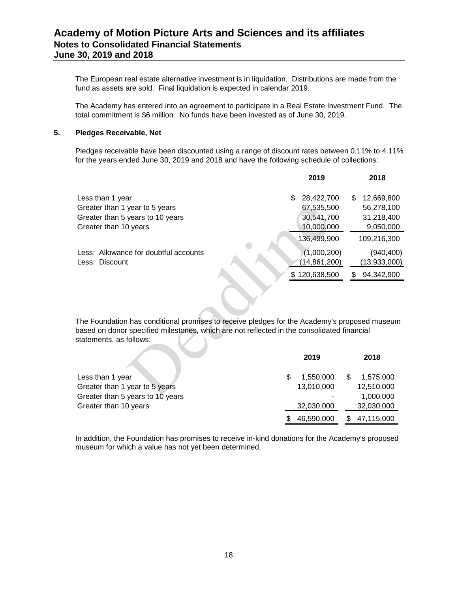The European real estate alternative investment is in liquidation. Distributions are made from the fund as assets are sold. Final liquidation is expected in calendar 2019.

The Academy has entered into an agreement to participate in a Real Estate Investment Fund. The total commitment is \$6 million. No funds have been invested as of June 30, 2019.

#### **5. Pledges Receivable, Net**

Pledges receivable have been discounted using a range of discount rates between 0.11% to 4.11% for the years ended June 30, 2019 and 2018 and have the following schedule of collections:

|                                                                                                                       | 2019             | 2018             |
|-----------------------------------------------------------------------------------------------------------------------|------------------|------------------|
| Less than 1 year                                                                                                      | \$<br>28,422,700 | \$<br>12,669,800 |
| Greater than 1 year to 5 years                                                                                        | 67,535,500       | 56,278,100       |
| Greater than 5 years to 10 years                                                                                      | 30,541,700       | 31,218,400       |
| Greater than 10 years                                                                                                 | 10,000,000       | 9,050,000        |
|                                                                                                                       | 136,499,900      | 109,216,300      |
| Less: Allowance for doubtful accounts                                                                                 | (1,000,200)      | (940, 400)       |
| Less: Discount                                                                                                        | (14, 861, 200)   | (13,933,000)     |
|                                                                                                                       | \$120,638,500    | \$<br>94,342,900 |
| The Foundation has conditional promises to receive pledges for the Academy's proposed museum                          |                  |                  |
| based on donor specified milestones, which are not reflected in the consolidated financial<br>statements, as follows: |                  |                  |
|                                                                                                                       | 2019             | 2018             |
| Less than 1 year                                                                                                      | \$<br>1,550,000  | \$<br>1,575,000  |
| Greater than 1 year to 5 years                                                                                        | 13,010,000       | 12,510,000       |
| Greater than 5 years to 10 years                                                                                      |                  | 1,000,000        |

|                                  | 2019       | 2018       |
|----------------------------------|------------|------------|
| Less than 1 year                 | 1,550,000  | 1,575,000  |
| Greater than 1 year to 5 years   | 13,010,000 | 12,510,000 |
| Greater than 5 years to 10 years |            | 1,000,000  |
| Greater than 10 years            | 32,030,000 | 32,030,000 |
|                                  | 46,590,000 | 47,115,000 |

In addition, the Foundation has promises to receive in-kind donations for the Academy's proposed museum for which a value has not yet been determined.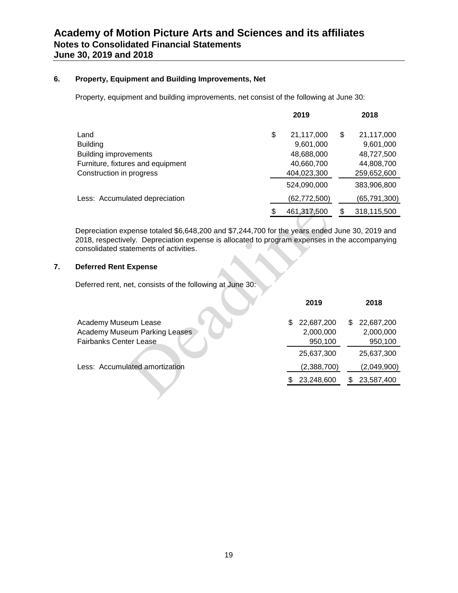### **6. Property, Equipment and Building Improvements, Net**

Property, equipment and building improvements, net consist of the following at June 30:

|                                   | 2019              |   | 2018           |
|-----------------------------------|-------------------|---|----------------|
| Land                              | \$<br>21,117,000  | S | 21,117,000     |
| <b>Building</b>                   | 9,601,000         |   | 9,601,000      |
| <b>Building improvements</b>      | 48,688,000        |   | 48,727,500     |
| Furniture, fixtures and equipment | 40,660,700        |   | 44,808,700     |
| Construction in progress          | 404,023,300       |   | 259,652,600    |
|                                   | 524,090,000       |   | 383,906,800    |
| Less: Accumulated depreciation    | (62, 772, 500)    |   | (65, 791, 300) |
|                                   | \$<br>461,317,500 |   | 318,115,500    |
|                                   |                   |   |                |

#### **7. Deferred Rent Expense**

|                                                                                                                                                                                                                                           |    | 461,317,500                        | S  | 318,115,500                        |  |
|-------------------------------------------------------------------------------------------------------------------------------------------------------------------------------------------------------------------------------------------|----|------------------------------------|----|------------------------------------|--|
| Depreciation expense totaled \$6,648,200 and \$7,244,700 for the years ended June 30, 2019 and<br>2018, respectively. Depreciation expense is allocated to program expenses in the accompanying<br>consolidated statements of activities. |    |                                    |    |                                    |  |
| <b>Deferred Rent Expense</b>                                                                                                                                                                                                              |    |                                    |    |                                    |  |
| Deferred rent, net, consists of the following at June 30:                                                                                                                                                                                 |    |                                    |    |                                    |  |
|                                                                                                                                                                                                                                           |    | 2019                               |    | 2018                               |  |
| Academy Museum Lease<br>Academy Museum Parking Leases<br><b>Fairbanks Center Lease</b>                                                                                                                                                    | \$ | 22,687,200<br>2,000,000<br>950,100 | \$ | 22,687,200<br>2,000,000<br>950,100 |  |
|                                                                                                                                                                                                                                           |    | 25,637,300                         |    | 25,637,300                         |  |
| Less: Accumulated amortization                                                                                                                                                                                                            |    | (2,388,700)                        |    | (2,049,900)                        |  |
|                                                                                                                                                                                                                                           |    | 23,248,600                         |    | 23,587,400                         |  |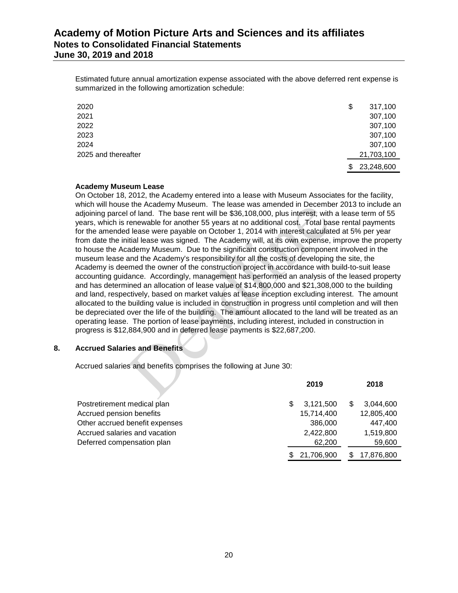Estimated future annual amortization expense associated with the above deferred rent expense is summarized in the following amortization schedule:

| 2020                | \$<br>317,100    |
|---------------------|------------------|
| 2021                | 307,100          |
| 2022                | 307,100          |
| 2023                | 307,100          |
| 2024                | 307,100          |
| 2025 and thereafter | 21,703,100       |
|                     | \$<br>23,248,600 |

#### **Academy Museum Lease**

On October 18, 2012, the Academy entered into a lease with Museum Associates for the facility, which will house the Academy Museum. The lease was amended in December 2013 to include an adjoining parcel of land. The base rent will be \$36,108,000, plus interest, with a lease term of 55 years, which is renewable for another 55 years at no additional cost. Total base rental payments for the amended lease were payable on October 1, 2014 with interest calculated at 5% per year from date the initial lease was signed. The Academy will, at its own expense, improve the property to house the Academy Museum. Due to the significant construction component involved in the museum lease and the Academy's responsibility for all the costs of developing the site, the Academy is deemed the owner of the construction project in accordance with build-to-suit lease accounting guidance. Accordingly, management has performed an analysis of the leased property and has determined an allocation of lease value of \$14,800,000 and \$21,308,000 to the building and land, respectively, based on market values at lease inception excluding interest. The amount allocated to the building value is included in construction in progress until completion and will then be depreciated over the life of the building. The amount allocated to the land will be treated as an operating lease. The portion of lease payments, including interest, included in construction in progress is \$12,884,900 and in deferred lease payments is \$22,687,200. erien exademy museum. The lease was armiclear in December of land. The base rent will be \$36,108,000, plus interest, with the form and the paraction renewable for another 55 years at no additional cost. Total base were pay

#### **8. Accrued Salaries and Benefits**

Accrued salaries and benefits comprises the following at June 30:

|                                | 2019          | 2018       |
|--------------------------------|---------------|------------|
| Postretirement medical plan    | 3,121,500     | 3,044,600  |
| Accrued pension benefits       | 15,714,400    | 12,805,400 |
| Other accrued benefit expenses | 386,000       | 447,400    |
| Accrued salaries and vacation  | 2,422,800     | 1,519,800  |
| Deferred compensation plan     | 62,200        | 59,600     |
|                                | \$ 21,706,900 | 17,876,800 |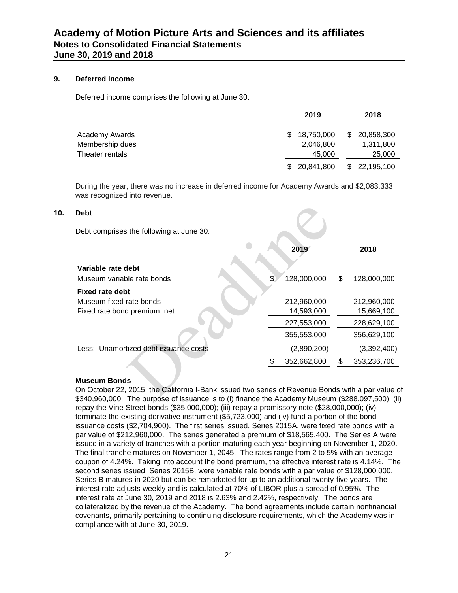#### **9. Deferred Income**

Deferred income comprises the following at June 30:

|                 |     | 2019       | 2018         |
|-----------------|-----|------------|--------------|
| Academy Awards  | SS. | 18.750.000 | \$20,858,300 |
| Membership dues |     | 2,046,800  | 1,311,800    |
| Theater rentals |     | 45,000     | 25,000       |
|                 | \$. | 20,841,800 | \$22,195,100 |

During the year, there was no increase in deferred income for Academy Awards and \$2,083,333 was recognized into revenue.

#### **10. Debt**

| <b>Debt</b>                                                                                                                                                                                                                   |   |                           |    |                           |
|-------------------------------------------------------------------------------------------------------------------------------------------------------------------------------------------------------------------------------|---|---------------------------|----|---------------------------|
| Debt comprises the following at June 30:                                                                                                                                                                                      |   |                           |    |                           |
|                                                                                                                                                                                                                               |   | 2019                      |    | 2018                      |
| Variable rate debt<br>Museum variable rate bonds                                                                                                                                                                              | S | 128,000,000               | \$ | 128,000,000               |
| <b>Fixed rate debt</b>                                                                                                                                                                                                        |   |                           |    |                           |
| Museum fixed rate bonds<br>Fixed rate bond premium, net                                                                                                                                                                       |   | 212,960,000<br>14,593,000 |    | 212,960,000<br>15,669,100 |
|                                                                                                                                                                                                                               |   | 227,553,000               |    | 228,629,100               |
|                                                                                                                                                                                                                               |   | 355,553,000               |    | 356,629,100               |
| Less: Unamortized debt issuance costs                                                                                                                                                                                         |   | (2,890,200)               |    | (3,392,400)               |
|                                                                                                                                                                                                                               |   | 352,662,800               | S  | 353,236,700               |
| <b>Museum Bonds</b><br>On October 22, 2015, the California I-Bank issued two series of Revenue Bonds with a par value of<br>$$340,960,000$ The purpose of issuance is to (i) finance the Academy Museum (\$288,097,500); (ii) |   |                           |    |                           |

#### **Museum Bonds**

On October 22, 2015, the California I-Bank issued two series of Revenue Bonds with a par value of \$340,960,000. The purpose of issuance is to (i) finance the Academy Museum (\$288,097,500); (ii) repay the Vine Street bonds (\$35,000,000); (iii) repay a promissory note (\$28,000,000); (iv) terminate the existing derivative instrument (\$5,723,000) and (iv) fund a portion of the bond issuance costs (\$2,704,900). The first series issued, Series 2015A, were fixed rate bonds with a par value of \$212,960,000. The series generated a premium of \$18,565,400. The Series A were issued in a variety of tranches with a portion maturing each year beginning on November 1, 2020. The final tranche matures on November 1, 2045. The rates range from 2 to 5% with an average coupon of 4.24%. Taking into account the bond premium, the effective interest rate is 4.14%. The second series issued, Series 2015B, were variable rate bonds with a par value of \$128,000,000. Series B matures in 2020 but can be remarketed for up to an additional twenty-five years. The interest rate adjusts weekly and is calculated at 70% of LIBOR plus a spread of 0.95%. The interest rate at June 30, 2019 and 2018 is 2.63% and 2.42%, respectively. The bonds are collateralized by the revenue of the Academy. The bond agreements include certain nonfinancial covenants, primarily pertaining to continuing disclosure requirements, which the Academy was in compliance with at June 30, 2019.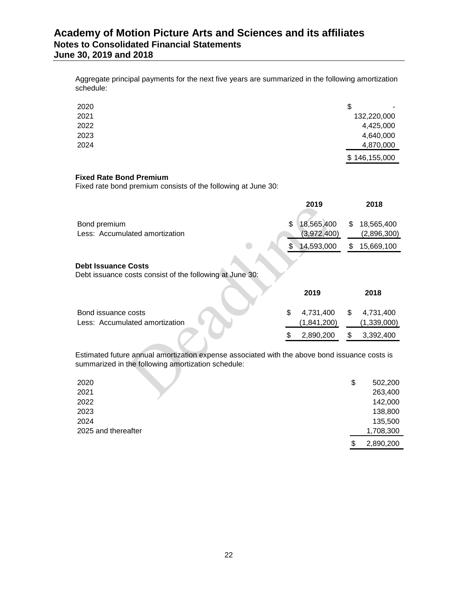Aggregate principal payments for the next five years are summarized in the following amortization schedule:

| 2020 | \$<br>۰.      |
|------|---------------|
| 2021 | 132,220,000   |
| 2022 | 4,425,000     |
| 2023 | 4,640,000     |
| 2024 | 4,870,000     |
|      | \$146,155,000 |

#### **Fixed Rate Bond Premium**

Fixed rate bond premium consists of the following at June 30:

|                                                                                                                                                     | 2019                            | 2018                            |
|-----------------------------------------------------------------------------------------------------------------------------------------------------|---------------------------------|---------------------------------|
| Bond premium<br>Less: Accumulated amortization                                                                                                      | \$<br>18,565,400<br>(3,972,400) | \$<br>18,565,400<br>(2,896,300) |
|                                                                                                                                                     | 14,593,000                      | \$<br>15,669,100                |
| <b>Debt Issuance Costs</b><br>Debt issuance costs consist of the following at June 30:                                                              |                                 |                                 |
|                                                                                                                                                     | 2019                            | 2018                            |
| Bond issuance costs<br>Less: Accumulated amortization                                                                                               | \$<br>4,731,400<br>(1,841,200)  | \$<br>4,731,400<br>(1,339,000)  |
|                                                                                                                                                     | 2,890,200                       | \$<br>3,392,400                 |
| Estimated future annual amortization expense associated with the above bond issuance costs is<br>summarized in the following amortization schedule: |                                 |                                 |
| 2020                                                                                                                                                |                                 | \$<br>502,200                   |
| 2021                                                                                                                                                |                                 | 263,400                         |

#### **Debt Issuance Costs**

|                                                       | 2019                     | 2018                        |
|-------------------------------------------------------|--------------------------|-----------------------------|
| Bond issuance costs<br>Less: Accumulated amortization | 4.731.400<br>(1.841.200) | \$ 4.731.400<br>(1,339,000) |
|                                                       | 2.890.200                | 3.392.400                   |

| 2020                | \$ | 502,200   |
|---------------------|----|-----------|
| 2021                |    | 263,400   |
| 2022                |    | 142,000   |
| 2023                |    | 138,800   |
| 2024                |    | 135,500   |
| 2025 and thereafter |    | 1,708,300 |
|                     | S  | 2,890,200 |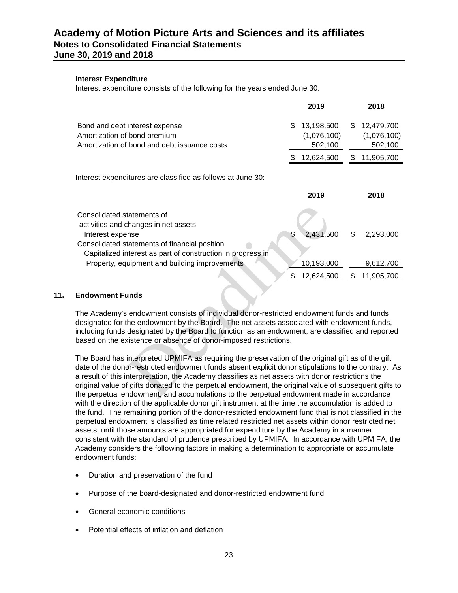#### **Interest Expenditure**

Interest expenditure consists of the following for the years ended June 30:

|                                                                                                                                                                                                                                                                                                                                                                                                                                                                                                                     | 2019                                       |                | 2018                                 |
|---------------------------------------------------------------------------------------------------------------------------------------------------------------------------------------------------------------------------------------------------------------------------------------------------------------------------------------------------------------------------------------------------------------------------------------------------------------------------------------------------------------------|--------------------------------------------|----------------|--------------------------------------|
| Bond and debt interest expense<br>Amortization of bond premium<br>Amortization of bond and debt issuance costs                                                                                                                                                                                                                                                                                                                                                                                                      | \$<br>13,198,500<br>(1,076,100)<br>502,100 | \$             | 12,479,700<br>(1,076,100)<br>502,100 |
|                                                                                                                                                                                                                                                                                                                                                                                                                                                                                                                     | \$<br>12,624,500                           | $\mathbb{S}$   | 11,905,700                           |
| Interest expenditures are classified as follows at June 30:                                                                                                                                                                                                                                                                                                                                                                                                                                                         |                                            |                |                                      |
|                                                                                                                                                                                                                                                                                                                                                                                                                                                                                                                     | 2019                                       |                | 2018                                 |
| Consolidated statements of<br>activities and changes in net assets<br>Interest expense<br>Consolidated statements of financial position<br>Capitalized interest as part of construction in progress in<br>Property, equipment and building improvements                                                                                                                                                                                                                                                             | \$<br>2,431,500<br>10,193,000              | \$             | 2,293,000<br>9,612,700               |
|                                                                                                                                                                                                                                                                                                                                                                                                                                                                                                                     | \$<br>12,624,500                           | $\mathfrak{S}$ | 11,905,700                           |
| <b>Endowment Funds</b>                                                                                                                                                                                                                                                                                                                                                                                                                                                                                              |                                            |                |                                      |
| The Academy's endowment consists of individual donor-restricted endowment funds and funds<br>designated for the endowment by the Board. The net assets associated with endowment funds,<br>including funds designated by the Board to function as an endowment, are classified and reported<br>based on the existence or absence of donor-imposed restrictions.                                                                                                                                                     |                                            |                |                                      |
| The Board has interpreted UPMIFA as requiring the preservation of the original gift as of the gift<br>date of the donor-restricted endowment funds absent explicit donor stipulations to the contrary. As<br>a result of this interpretation, the Academy classifies as net assets with donor restrictions the<br>original value of gifts donated to the perpetual endowment, the original value of subsequent gifts to<br>the perpetual endowment, and accumulations to the perpetual endowment made in accordance |                                            |                |                                      |

#### **11. Endowment Funds**

The Board has interpreted UPMIFA as requiring the preservation of the original gift as of the gift date of the donor-restricted endowment funds absent explicit donor stipulations to the contrary. As a result of this interpretation, the Academy classifies as net assets with donor restrictions the original value of gifts donated to the perpetual endowment, the original value of subsequent gifts to the perpetual endowment, and accumulations to the perpetual endowment made in accordance with the direction of the applicable donor gift instrument at the time the accumulation is added to the fund. The remaining portion of the donor-restricted endowment fund that is not classified in the perpetual endowment is classified as time related restricted net assets within donor restricted net assets, until those amounts are appropriated for expenditure by the Academy in a manner consistent with the standard of prudence prescribed by UPMIFA. In accordance with UPMIFA, the Academy considers the following factors in making a determination to appropriate or accumulate endowment funds:

- Duration and preservation of the fund
- Purpose of the board-designated and donor-restricted endowment fund
- General economic conditions
- Potential effects of inflation and deflation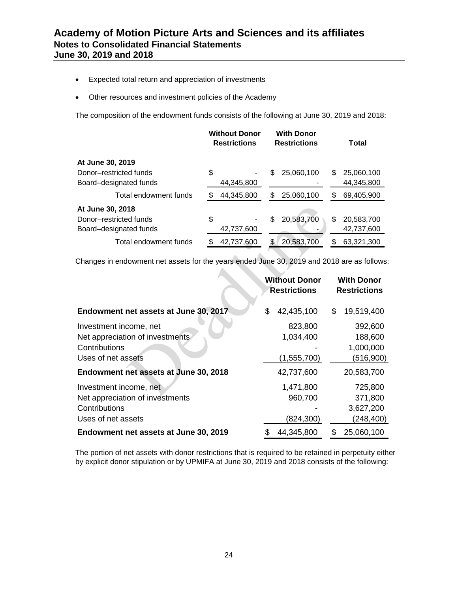- Expected total return and appreciation of investments
- Other resources and investment policies of the Academy

The composition of the endowment funds consists of the following at June 30, 2019 and 2018:

|                                                  | <b>Without Donor</b><br><b>Restrictions</b> |            |    | <b>With Donor</b><br><b>Restrictions</b> |    | Total                    |  |  |
|--------------------------------------------------|---------------------------------------------|------------|----|------------------------------------------|----|--------------------------|--|--|
| At June 30, 2019                                 |                                             |            |    |                                          |    |                          |  |  |
| Donor-restricted funds<br>Board-designated funds | \$                                          | 44,345,800 | S  | 25,060,100                               | S  | 25,060,100<br>44,345,800 |  |  |
| Total endowment funds                            | S                                           | 44,345,800 | \$ | 25,060,100                               | \$ | 69,405,900               |  |  |
| At June 30, 2018                                 |                                             |            |    |                                          |    |                          |  |  |
| Donor-restricted funds                           | \$                                          | ۰          | \$ | 20,583,700                               | \$ | 20,583,700               |  |  |
| Board-designated funds                           |                                             | 42,737,600 |    |                                          |    | 42,737,600               |  |  |
| Total endowment funds                            |                                             | 42,737,600 | S  | 20,583,700                               | \$ | 63,321,300               |  |  |

| At June 30, 2018                                                                           |    |            |                                             |                                          |
|--------------------------------------------------------------------------------------------|----|------------|---------------------------------------------|------------------------------------------|
| Donor-restricted funds                                                                     | \$ |            | \$<br>20,583,700                            | \$<br>20,583,700                         |
| Board-designated funds                                                                     |    | 42,737,600 |                                             | 42,737,600                               |
| Total endowment funds                                                                      | \$ | 42,737,600 | \$<br>20,583,700                            | \$<br>63,321,300                         |
| Changes in endowment net assets for the years ended June 30, 2019 and 2018 are as follows: |    |            |                                             |                                          |
|                                                                                            |    |            | <b>Without Donor</b><br><b>Restrictions</b> | <b>With Donor</b><br><b>Restrictions</b> |
| Endowment net assets at June 30, 2017                                                      |    |            | \$<br>42,435,100                            | \$<br>19,519,400                         |
| Investment income, net                                                                     |    |            | 823,800                                     | 392,600                                  |
| Net appreciation of investments                                                            |    |            | 1,034,400                                   | 188,600                                  |
| Contributions                                                                              |    |            |                                             | 1,000,000                                |
| Uses of net assets                                                                         |    |            | (1,555,700)                                 | (516,900)                                |
| Endowment net assets at June 30, 2018                                                      |    |            | 42,737,600                                  | 20,583,700                               |
| Investment income, net                                                                     |    |            | 1,471,800                                   | 725,800                                  |
| Net appreciation of investments                                                            |    |            | 960,700                                     | 371,800                                  |
| Contributions                                                                              |    |            |                                             | 3,627,200                                |
| Uses of net assets                                                                         |    |            | (824,300)                                   | (248,400)                                |
| Endowment net assets at June 30, 2019                                                      |    |            | \$<br>44,345,800                            | \$<br>25,060,100                         |

The portion of net assets with donor restrictions that is required to be retained in perpetuity either by explicit donor stipulation or by UPMIFA at June 30, 2019 and 2018 consists of the following: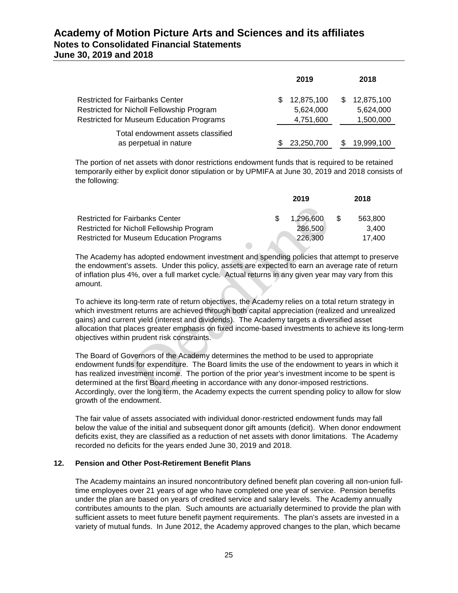|                                                                                                                                        | 2019                                 |    | 2018                                 |
|----------------------------------------------------------------------------------------------------------------------------------------|--------------------------------------|----|--------------------------------------|
| <b>Restricted for Fairbanks Center</b><br>Restricted for Nicholl Fellowship Program<br><b>Restricted for Museum Education Programs</b> | 12,875,100<br>5,624,000<br>4,751,600 | S. | 12,875,100<br>5,624,000<br>1,500,000 |
| Total endowment assets classified<br>as perpetual in nature                                                                            | 23,250,700                           |    | 19,999,100                           |

The portion of net assets with donor restrictions endowment funds that is required to be retained temporarily either by explicit donor stipulation or by UPMIFA at June 30, 2019 and 2018 consists of the following:

|                                                 | 2019      | 2018    |
|-------------------------------------------------|-----------|---------|
| <b>Restricted for Fairbanks Center</b>          | 1,296,600 | 563.800 |
| Restricted for Nicholl Fellowship Program       | 286,500   | 3.400   |
| <b>Restricted for Museum Education Programs</b> | 226.300   | 17.400  |

The Academy has adopted endowment investment and spending policies that attempt to preserve the endowment's assets. Under this policy, assets are expected to earn an average rate of return of inflation plus 4%, over a full market cycle. Actual returns in any given year may vary from this amount.

To achieve its long-term rate of return objectives, the Academy relies on a total return strategy in which investment returns are achieved through both capital appreciation (realized and unrealized gains) and current yield (interest and dividends). The Academy targets a diversified asset allocation that places greater emphasis on fixed income-based investments to achieve its long-term objectives within prudent risk constraints.

The Board of Governors of the Academy determines the method to be used to appropriate endowment funds for expenditure. The Board limits the use of the endowment to years in which it has realized investment income. The portion of the prior year's investment income to be spent is determined at the first Board meeting in accordance with any donor-imposed restrictions. Accordingly, over the long term, the Academy expects the current spending policy to allow for slow growth of the endowment. Fairbanks Center \$1,296,600<br>
Wuseum Education Program \$1,296,600<br>
Museum Education Program \$286,500<br>
Alseum Education Program \$226,300<br>
and a sadopted endowment investment and spending policies that<br>
Secrected to earn an a

The fair value of assets associated with individual donor-restricted endowment funds may fall below the value of the initial and subsequent donor gift amounts (deficit). When donor endowment deficits exist, they are classified as a reduction of net assets with donor limitations. The Academy recorded no deficits for the years ended June 30, 2019 and 2018.

#### **12. Pension and Other Post-Retirement Benefit Plans**

The Academy maintains an insured noncontributory defined benefit plan covering all non-union fulltime employees over 21 years of age who have completed one year of service. Pension benefits under the plan are based on years of credited service and salary levels. The Academy annually contributes amounts to the plan. Such amounts are actuarially determined to provide the plan with sufficient assets to meet future benefit payment requirements. The plan's assets are invested in a variety of mutual funds. In June 2012, the Academy approved changes to the plan, which became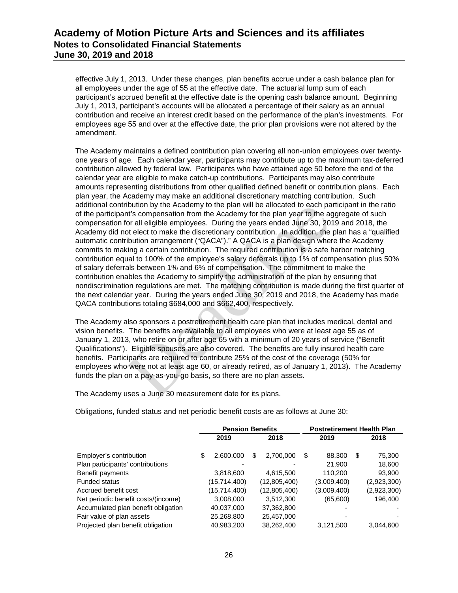effective July 1, 2013. Under these changes, plan benefits accrue under a cash balance plan for all employees under the age of 55 at the effective date. The actuarial lump sum of each participant's accrued benefit at the effective date is the opening cash balance amount. Beginning July 1, 2013, participant's accounts will be allocated a percentage of their salary as an annual contribution and receive an interest credit based on the performance of the plan's investments. For employees age 55 and over at the effective date, the prior plan provisions were not altered by the amendment.

The Academy maintains a defined contribution plan covering all non-union employees over twentyone years of age. Each calendar year, participants may contribute up to the maximum tax-deferred contribution allowed by federal law. Participants who have attained age 50 before the end of the calendar year are eligible to make catch-up contributions. Participants may also contribute amounts representing distributions from other qualified defined benefit or contribution plans. Each plan year, the Academy may make an additional discretionary matching contribution. Such additional contribution by the Academy to the plan will be allocated to each participant in the ratio of the participant's compensation from the Academy for the plan year to the aggregate of such compensation for all eligible employees. During the years ended June 30, 2019 and 2018, the Academy did not elect to make the discretionary contribution. In addition, the plan has a "qualified automatic contribution arrangement ("QACA")." A QACA is a plan design where the Academy commits to making a certain contribution. The required contribution is a safe harbor matching contribution equal to 100% of the employee's salary deferrals up to 1% of compensation plus 50% of salary deferrals between 1% and 6% of compensation. The commitment to make the contribution enables the Academy to simplify the administration of the plan by ensuring that nondiscrimination regulations are met. The matching contribution is made during the first quarter of the next calendar year. During the years ended June 30, 2019 and 2018, the Academy has made QACA contributions totaling \$684,000 and \$662,400, respectively. not is compensation from the Academy to the plan will be allocated to each part is compensation from the Academy for the plan year to the age in order and or all eligible employees. During the years ended June 30, 20 of el

The Academy also sponsors a postretirement health care plan that includes medical, dental and vision benefits. The benefits are available to all employees who were at least age 55 as of January 1, 2013, who retire on or after age 65 with a minimum of 20 years of service ("Benefit Qualifications"). Eligible spouses are also covered. The benefits are fully insured health care benefits. Participants are required to contribute 25% of the cost of the coverage (50% for employees who were not at least age 60, or already retired, as of January 1, 2013). The Academy funds the plan on a pay-as-you-go basis, so there are no plan assets.

The Academy uses a June 30 measurement date for its plans.

Obligations, funded status and net periodic benefit costs are as follows at June 30:

|                                     | <b>Pension Benefits</b> |   | <b>Postretirement Health Plan</b> |              |   |             |
|-------------------------------------|-------------------------|---|-----------------------------------|--------------|---|-------------|
|                                     | 2019                    |   | 2018                              | 2019         |   | 2018        |
| Employer's contribution             | \$<br>2,600,000         | S | 2,700,000                         | \$<br>88,300 | S | 75,300      |
| Plan participants' contributions    |                         |   |                                   | 21,900       |   | 18,600      |
| Benefit payments                    | 3,818,600               |   | 4,615,500                         | 110,200      |   | 93,900      |
| <b>Funded status</b>                | (15,714,400)            |   | (12,805,400)                      | (3,009,400)  |   | (2,923,300) |
| Accrued benefit cost                | (15,714,400)            |   | (12,805,400)                      | (3,009,400)  |   | (2,923,300) |
| Net periodic benefit costs/(income) | 3,008,000               |   | 3,512,300                         | (65,600)     |   | 196,400     |
| Accumulated plan benefit obligation | 40,037,000              |   | 37,362,800                        |              |   |             |
| Fair value of plan assets           | 25,268,800              |   | 25,457,000                        |              |   |             |
| Projected plan benefit obligation   | 40,983,200              |   | 38,262,400                        | 3,121,500    |   | 3,044,600   |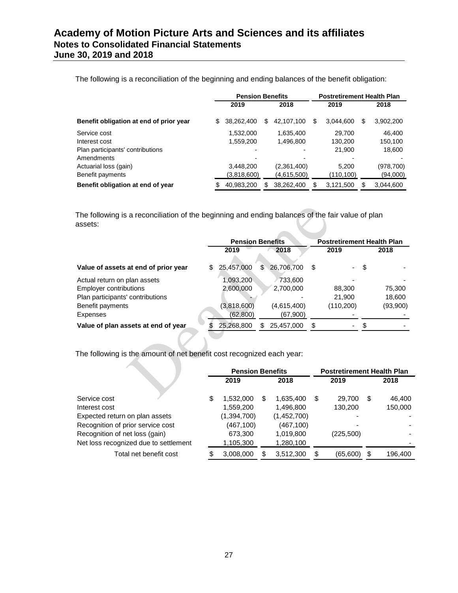The following is a reconciliation of the beginning and ending balances of the benefit obligation:

|                                         | <b>Pension Benefits</b> |             |     |             |    | <b>Postretirement Health Plan</b> |   |            |  |  |
|-----------------------------------------|-------------------------|-------------|-----|-------------|----|-----------------------------------|---|------------|--|--|
|                                         |                         | 2019        |     | 2018        |    | 2019                              |   | 2018       |  |  |
| Benefit obligation at end of prior year | \$.                     | 38.262.400  | S.  | 42,107,100  | S  | 3.044.600                         | S | 3,902,200  |  |  |
| Service cost                            |                         | 1,532,000   |     | 1,635,400   |    | 29,700                            |   | 46,400     |  |  |
| Interest cost                           |                         | 1,559,200   |     | 1,496,800   |    | 130,200                           |   | 150,100    |  |  |
| Plan participants' contributions        |                         |             |     |             |    | 21,900                            |   | 18,600     |  |  |
| Amendments                              |                         |             |     |             |    |                                   |   |            |  |  |
| Actuarial loss (gain)                   |                         | 3,448,200   |     | (2,361,400) |    | 5,200                             |   | (978, 700) |  |  |
| Benefit payments                        |                         | (3,818,600) |     | (4,615,500) |    | (110,100)                         |   | (94,000)   |  |  |
| Benefit obligation at end of year       |                         | 40,983,200  | \$. | 38,262,400  | \$ | 3,121,500                         |   | 3,044,600  |  |  |

|                                                                       |    | <b>Pension Benefits</b> |    |             | <b>Postretirement Health Plan</b> |                                   |    |          |
|-----------------------------------------------------------------------|----|-------------------------|----|-------------|-----------------------------------|-----------------------------------|----|----------|
|                                                                       |    | 2019                    |    | 2018        |                                   | 2019                              |    | 2018     |
| Value of assets at end of prior year                                  | \$ | 25,457,000              | \$ | 26,706,700  | \$                                |                                   | \$ |          |
| Actual return on plan assets                                          |    | 1,093,200               |    | 733,600     |                                   |                                   |    |          |
| Employer contributions                                                |    | 2,600,000               |    | 2,700,000   |                                   | 88,300                            |    | 75,300   |
| Plan participants' contributions                                      |    |                         |    |             |                                   | 21,900                            |    | 18,600   |
| Benefit payments                                                      |    | (3,818,600)             |    | (4,615,400) |                                   | (110, 200)                        |    | (93,900) |
| Expenses                                                              |    | (62,800)                |    | (67,900)    |                                   |                                   |    |          |
| Value of plan assets at end of year                                   |    | 25,268,800              |    | 25,457,000  | \$                                |                                   |    |          |
|                                                                       |    |                         |    |             |                                   |                                   |    |          |
| The following is the amount of net benefit cost recognized each year: |    |                         |    |             |                                   |                                   |    |          |
|                                                                       |    | <b>Pension Benefits</b> |    |             |                                   | <b>Postretirement Health Plan</b> |    |          |
|                                                                       |    | 2019                    |    | 2018        |                                   | 2019                              |    | 2018     |
| Service cost                                                          | ፍ  | 1 532 000               | ፍ  | 1 635 400   | ፍ                                 | 29.700                            | ፍ  | 46.400   |

|                                       | <b>Pension Benefits</b> |             |    |             |    | <b>Postretirement Health Plan</b> |   |         |  |
|---------------------------------------|-------------------------|-------------|----|-------------|----|-----------------------------------|---|---------|--|
|                                       |                         | 2019        |    | 2018        |    | 2019                              |   | 2018    |  |
| Service cost                          | S                       | 1,532,000   | \$ | 1,635,400   | £. | 29,700                            | S | 46,400  |  |
| Interest cost                         |                         | 1,559,200   |    | 1,496,800   |    | 130,200                           |   | 150,000 |  |
| Expected return on plan assets        |                         | (1,394,700) |    | (1,452,700) |    |                                   |   |         |  |
| Recognition of prior service cost     |                         | (467, 100)  |    | (467, 100)  |    |                                   |   |         |  |
| Recognition of net loss (gain)        |                         | 673,300     |    | 1,019,800   |    | (225,500)                         |   |         |  |
| Net loss recognized due to settlement |                         | 1,105,300   |    | 1,280,100   |    |                                   |   |         |  |
| Total net benefit cost                |                         | 3,008,000   |    | 3,512,300   |    | (65,600)                          |   | 196,400 |  |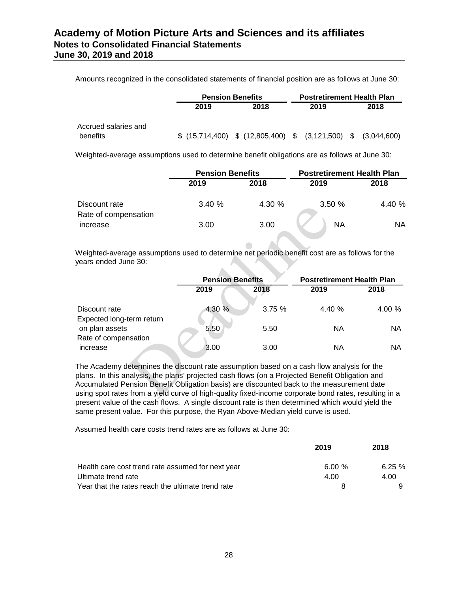Amounts recognized in the consolidated statements of financial position are as follows at June 30:

|                                  |      | <b>Pension Benefits</b><br><b>Postretirement Health Plan</b>      |      |      |  |  |
|----------------------------------|------|-------------------------------------------------------------------|------|------|--|--|
|                                  | 2019 | 2018                                                              | 2019 | 2018 |  |  |
| Accrued salaries and<br>benefits |      | $$$ (15,714,400) $$$ (12,805,400) $$$ (3,121,500) $$$ (3,044,600) |      |      |  |  |

Weighted-average assumptions used to determine benefit obligations are as follows at June 30:

|                                  | <b>Pension Benefits</b> |       | <b>Postretirement Health Plan</b> |           |
|----------------------------------|-------------------------|-------|-----------------------------------|-----------|
|                                  | 2019                    | 2018  | 2019                              | 2018      |
| Discount rate                    | 3.40%                   | 4.30% | 3.50%                             | 4.40 %    |
| Rate of compensation<br>increase | 3.00                    | 3.00  | ΝA                                | <b>NA</b> |

| Discount rate                                                                                                                                                                                                                                                                                                                                                                                      | 70 J. <del>4</del> U    | 4.JU 70 | ა.ე∪ 7o                           | 4.4V 7 |
|----------------------------------------------------------------------------------------------------------------------------------------------------------------------------------------------------------------------------------------------------------------------------------------------------------------------------------------------------------------------------------------------------|-------------------------|---------|-----------------------------------|--------|
| Rate of compensation                                                                                                                                                                                                                                                                                                                                                                               |                         |         |                                   |        |
| increase                                                                                                                                                                                                                                                                                                                                                                                           | 3.00                    | 3.00    | <b>NA</b>                         | N      |
|                                                                                                                                                                                                                                                                                                                                                                                                    |                         |         |                                   |        |
| Weighted-average assumptions used to determine net periodic benefit cost are as follows for the<br>years ended June 30:                                                                                                                                                                                                                                                                            |                         |         |                                   |        |
|                                                                                                                                                                                                                                                                                                                                                                                                    | <b>Pension Benefits</b> |         | <b>Postretirement Health Plan</b> |        |
|                                                                                                                                                                                                                                                                                                                                                                                                    | 2019                    | 2018    | 2019                              | 2018   |
| Discount rate<br>Expected long-term return                                                                                                                                                                                                                                                                                                                                                         | 4.30 %                  | 3.75%   | 4.40 %                            | 4.00 % |
| on plan assets<br>Rate of compensation                                                                                                                                                                                                                                                                                                                                                             | 5.50                    | 5.50    | <b>NA</b>                         | NA.    |
| increase                                                                                                                                                                                                                                                                                                                                                                                           | 3.00                    | 3.00    | NA                                | NA.    |
| The Academy determines the discount rate assumption based on a cash flow analysis for the<br>plans. In this analysis, the plans' projected cash flows (on a Projected Benefit Obligation and<br>Accumulated Pension Benefit Obligation basis) are discounted back to the measurement date<br>using spot rates from a yield curve of high-quality fixed-income corporate bond rates, resulting in a |                         |         |                                   |        |

The Academy determines the discount rate assumption based on a cash flow analysis for the plans. In this analysis, the plans' projected cash flows (on a Projected Benefit Obligation and Accumulated Pension Benefit Obligation basis) are discounted back to the measurement date using spot rates from a yield curve of high-quality fixed-income corporate bond rates, resulting in a present value of the cash flows. A single discount rate is then determined which would yield the same present value. For this purpose, the Ryan Above-Median yield curve is used.

Assumed health care costs trend rates are as follows at June 30:

|                                                   | 2019  | 2018      |
|---------------------------------------------------|-------|-----------|
| Health care cost trend rate assumed for next year | 6.00% | $6.25 \%$ |
| Ultimate trend rate                               | 4.00  | 4.00      |
| Year that the rates reach the ultimate trend rate | я     |           |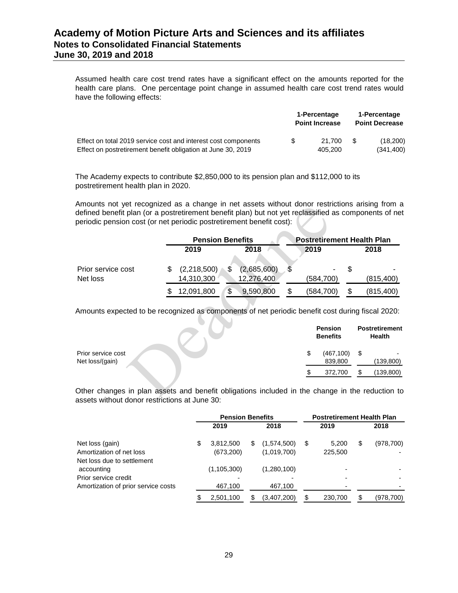Assumed health care cost trend rates have a significant effect on the amounts reported for the health care plans. One percentage point change in assumed health care cost trend rates would have the following effects:

|                                                                |    | 1-Percentage<br><b>Point Increase</b> |      | 1-Percentage<br><b>Point Decrease</b> |  |
|----------------------------------------------------------------|----|---------------------------------------|------|---------------------------------------|--|
| Effect on total 2019 service cost and interest cost components | S. | 21.700                                | - SS | (18.200)                              |  |
| Effect on postretirement benefit obligation at June 30, 2019   |    | 405.200                               |      | (341, 400)                            |  |

The Academy expects to contribute \$2,850,000 to its pension plan and \$112,000 to its postretirement health plan in 2020.

Amounts not yet recognized as a change in net assets without donor restrictions arising from a defined benefit plan (or a postretirement benefit plan) but not yet reclassified as components of net periodic pension cost (or net periodic postretirement benefit cost):

|                                                                                                  |                                 | <b>Pension Benefits</b> |                           |      |                                   | <b>Postretirement Health Plan</b> |
|--------------------------------------------------------------------------------------------------|---------------------------------|-------------------------|---------------------------|------|-----------------------------------|-----------------------------------|
|                                                                                                  | 2019                            |                         | 2018                      | 2019 |                                   | 2018                              |
| Prior service cost<br>Net loss                                                                   | (2,218,500)<br>\$<br>14,310,300 | \$.                     | (2,685,600)<br>12,276,400 |      | (584,700)                         | (815, 400)                        |
|                                                                                                  |                                 |                         |                           |      |                                   |                                   |
|                                                                                                  | 12,091,800                      | \$                      | 9,590,800                 |      | (584, 700)                        | (815, 400)                        |
| Amounts expected to be recognized as components of net periodic benefit cost during fiscal 2020: |                                 |                         |                           |      |                                   |                                   |
|                                                                                                  |                                 |                         |                           |      | <b>Pension</b><br><b>Benefits</b> | Postretirement<br>Health          |
| Prior service cost<br>Net loss/(gain)                                                            |                                 |                         |                           | \$   | (467, 100)<br>839,800             | \$<br>(139, 800)                  |

|                                       | <b>Pension</b><br><b>Benefits</b> |   | <b>Postretirement</b><br><b>Health</b> |
|---------------------------------------|-----------------------------------|---|----------------------------------------|
| Prior service cost<br>Net loss/(gain) | (467, 100)<br>839,800             | S | (139,800)                              |
|                                       | 372,700                           | ጥ | (139,800)                              |

Other changes in plan assets and benefit obligations included in the change in the reduction to assets without donor restrictions at June 30:

|                                             |    | <b>Pension Benefits</b> |   |                            | <b>Postretirement Health Plan</b> |                  |
|---------------------------------------------|----|-------------------------|---|----------------------------|-----------------------------------|------------------|
|                                             |    | 2019                    |   | 2018                       | 2019                              | 2018             |
| Net loss (gain)<br>Amortization of net loss | \$ | 3,812,500<br>(673,200)  | S | (1,574,500)<br>(1,019,700) | \$<br>5.200<br>225,500            | \$<br>(978, 700) |
| Net loss due to settlement<br>accounting    |    | (1, 105, 300)           |   | (1,280,100)                |                                   |                  |
| Prior service credit                        |    |                         |   |                            | -                                 |                  |
| Amortization of prior service costs         |    | 467,100                 |   | 467,100                    |                                   |                  |
|                                             | S  | 2,501,100               | S | (3,407,200)                | \$<br>230,700                     | \$<br>(978, 700) |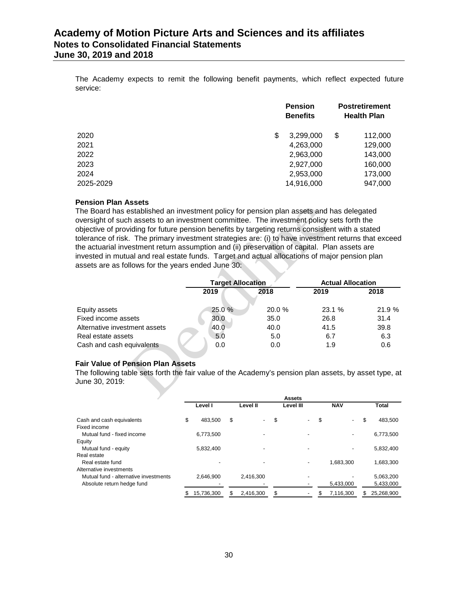The Academy expects to remit the following benefit payments, which reflect expected future service:

|           | <b>Pension</b><br><b>Benefits</b> | <b>Postretirement</b><br><b>Health Plan</b> |
|-----------|-----------------------------------|---------------------------------------------|
| 2020      | \$<br>3,299,000                   | \$<br>112,000                               |
| 2021      | 4,263,000                         | 129,000                                     |
| 2022      | 2,963,000                         | 143,000                                     |
| 2023      | 2,927,000                         | 160,000                                     |
| 2024      | 2,953,000                         | 173,000                                     |
| 2025-2029 | 14,916,000                        | 947,000                                     |

#### **Pension Plan Assets**

| The Board has established an investment policy for pension plan assets and has delegated<br>oversight of such assets to an investment committee. The investment policy sets forth the<br>objective of providing for future pension benefits by targeting returns consistent with a stated<br>tolerance of risk. The primary investment strategies are: (i) to have investment returns that exceed<br>the actuarial investment return assumption and (ii) preservation of capital. Plan assets are<br>invested in mutual and real estate funds. Target and actual allocations of major pension plan<br>assets are as follows for the years ended June 30: |                          |               |                          |        |
|----------------------------------------------------------------------------------------------------------------------------------------------------------------------------------------------------------------------------------------------------------------------------------------------------------------------------------------------------------------------------------------------------------------------------------------------------------------------------------------------------------------------------------------------------------------------------------------------------------------------------------------------------------|--------------------------|---------------|--------------------------|--------|
|                                                                                                                                                                                                                                                                                                                                                                                                                                                                                                                                                                                                                                                          | <b>Target Allocation</b> |               | <b>Actual Allocation</b> |        |
|                                                                                                                                                                                                                                                                                                                                                                                                                                                                                                                                                                                                                                                          | 2019                     | 2018          | 2019                     | 2018   |
| Equity assets                                                                                                                                                                                                                                                                                                                                                                                                                                                                                                                                                                                                                                            | 25.0 %                   | 20.0 %        | 23.1 %                   | 21.9 % |
| Fixed income assets                                                                                                                                                                                                                                                                                                                                                                                                                                                                                                                                                                                                                                      | 30.0 <sub>°</sub>        | 35.0          | 26.8                     | 31.4   |
| Alternative investment assets                                                                                                                                                                                                                                                                                                                                                                                                                                                                                                                                                                                                                            | 40.0                     | 40.0          | 41.5                     | 39.8   |
| Real estate assets                                                                                                                                                                                                                                                                                                                                                                                                                                                                                                                                                                                                                                       | 5.0                      | 5.0           | 6.7                      | 6.3    |
| Cash and cash equivalents                                                                                                                                                                                                                                                                                                                                                                                                                                                                                                                                                                                                                                | 0.0                      | 0.0           | 1.9                      | 0.6    |
| <b>Fair Value of Pension Plan Assets</b>                                                                                                                                                                                                                                                                                                                                                                                                                                                                                                                                                                                                                 |                          |               |                          |        |
| The following table sets forth the fair value of the Academy's pension plan assets, by asset type, at<br>June 30, 2019:                                                                                                                                                                                                                                                                                                                                                                                                                                                                                                                                  |                          |               |                          |        |
|                                                                                                                                                                                                                                                                                                                                                                                                                                                                                                                                                                                                                                                          |                          | <b>Assets</b> |                          |        |

#### **Fair Value of Pension Plan Assets**

|                                       |    |            |                                | <b>Assets</b>                  |                                |    |            |
|---------------------------------------|----|------------|--------------------------------|--------------------------------|--------------------------------|----|------------|
|                                       |    | Level I    | Level II                       | <b>Level III</b>               | <b>NAV</b>                     |    | Total      |
| Cash and cash equivalents             | \$ | 483.500    | \$<br>$\overline{\phantom{0}}$ | \$<br>$\blacksquare$           | \$<br>$\overline{\phantom{0}}$ | \$ | 483,500    |
| Fixed income                          |    |            |                                |                                |                                |    |            |
| Mutual fund - fixed income            |    | 6,773,500  |                                | $\blacksquare$                 |                                |    | 6,773,500  |
| Equity                                |    |            |                                |                                |                                |    |            |
| Mutual fund - equity                  |    | 5,832,400  |                                | $\overline{\phantom{a}}$       |                                |    | 5,832,400  |
| Real estate                           |    |            |                                |                                |                                |    |            |
| Real estate fund                      |    |            |                                | $\overline{\phantom{0}}$       | 1.683.300                      |    | 1,683,300  |
| Alternative investments               |    |            |                                |                                |                                |    |            |
| Mutual fund - alternative investments |    | 2,646,900  | 2,416,300                      | $\overline{\phantom{a}}$       |                                |    | 5,063,200  |
| Absolute return hedge fund            |    |            |                                |                                | 5,433,000                      |    | 5,433,000  |
|                                       | S  | 15,736,300 | 2,416,300                      | \$<br>$\overline{\phantom{0}}$ | 7,116,300                      | S  | 25,268,900 |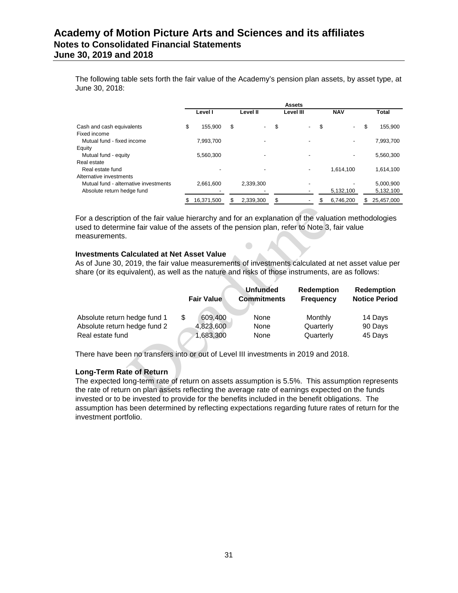The following table sets forth the fair value of the Academy's pension plan assets, by asset type, at June 30, 2018:

|                                                                  |                  |                                | <b>Assets</b>                  |    |                          |    |            |
|------------------------------------------------------------------|------------------|--------------------------------|--------------------------------|----|--------------------------|----|------------|
|                                                                  | <b>Level I</b>   | Level II                       | <b>Level III</b>               |    | <b>NAV</b>               |    | Total      |
| Cash and cash equivalents                                        | \$<br>155.900    | \$<br>$\overline{\phantom{0}}$ | \$<br>$\overline{\phantom{0}}$ | \$ | $\overline{\phantom{0}}$ | \$ | 155,900    |
| Fixed income<br>Mutual fund - fixed income                       | 7,993,700        |                                |                                |    | $\overline{\phantom{0}}$ |    | 7,993,700  |
| Equity<br>Mutual fund - equity                                   | 5,560,300        |                                |                                |    | $\overline{\phantom{0}}$ |    | 5,560,300  |
| Real estate                                                      |                  |                                |                                |    |                          |    |            |
| Real estate fund                                                 |                  |                                |                                |    | 1.614.100                |    | 1,614,100  |
| Alternative investments<br>Mutual fund - alternative investments | 2.661.600        | 2,339,300                      |                                |    |                          |    | 5,000,900  |
| Absolute return hedge fund                                       |                  |                                |                                |    | 5,132,100                |    | 5,132,100  |
|                                                                  | \$<br>16,371,500 | 2.339.300                      | \$                             | S  | 6.746.200                | S  | 25,457,000 |

#### **Investments Calculated at Net Asset Value**

| For a description of the fair value hierarchy and for an explanation of the valuation methodologies<br>used to determine fair value of the assets of the pension plan, refer to Note 3, fair value<br>measurements.                                                                                                                     |                                         |                                       |                                   |                                           |
|-----------------------------------------------------------------------------------------------------------------------------------------------------------------------------------------------------------------------------------------------------------------------------------------------------------------------------------------|-----------------------------------------|---------------------------------------|-----------------------------------|-------------------------------------------|
| <b>Investments Calculated at Net Asset Value</b><br>As of June 30, 2019, the fair value measurements of investments calculated at net asset value per<br>share (or its equivalent), as well as the nature and risks of those instruments, are as follows:                                                                               |                                         |                                       |                                   |                                           |
|                                                                                                                                                                                                                                                                                                                                         | <b>Fair Value</b>                       | <b>Unfunded</b><br><b>Commitments</b> | Redemption<br><b>Frequency</b>    | <b>Redemption</b><br><b>Notice Period</b> |
| Absolute return hedge fund 1<br>Absolute return hedge fund 2<br>Real estate fund                                                                                                                                                                                                                                                        | \$<br>609,400<br>4,823,600<br>1,683,300 | None<br>None<br>None                  | Monthly<br>Quarterly<br>Quarterly | 14 Days<br>90 Days<br>45 Days             |
| There have been no transfers into or out of Level III investments in 2019 and 2018.                                                                                                                                                                                                                                                     |                                         |                                       |                                   |                                           |
| <b>Long-Term Rate of Return</b><br>The expected long-term rate of return on assets assumption is 5.5%. This assumption represents<br>the rate of return on plan assets reflecting the average rate of earnings expected on the funds<br>invested or to be invested to provide for the benefits included in the benefit obligations. The |                                         |                                       |                                   |                                           |

#### **Long-Term Rate of Return**

The expected long-term rate of return on assets assumption is 5.5%. This assumption represents the rate of return on plan assets reflecting the average rate of earnings expected on the funds invested or to be invested to provide for the benefits included in the benefit obligations. The assumption has been determined by reflecting expectations regarding future rates of return for the investment portfolio.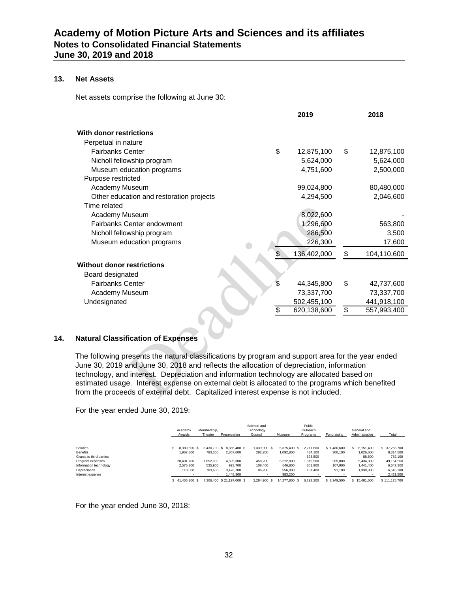#### **13. Net Assets**

Net assets comprise the following at June 30:

|                                                                                                                                                                                                                                                                                                                                                                                             | 2019              |                 | 2018        |  |
|---------------------------------------------------------------------------------------------------------------------------------------------------------------------------------------------------------------------------------------------------------------------------------------------------------------------------------------------------------------------------------------------|-------------------|-----------------|-------------|--|
| <b>With donor restrictions</b>                                                                                                                                                                                                                                                                                                                                                              |                   |                 |             |  |
| Perpetual in nature                                                                                                                                                                                                                                                                                                                                                                         |                   |                 |             |  |
| <b>Fairbanks Center</b>                                                                                                                                                                                                                                                                                                                                                                     | \$<br>12,875,100  | \$              | 12,875,100  |  |
| Nicholl fellowship program                                                                                                                                                                                                                                                                                                                                                                  | 5,624,000         |                 | 5,624,000   |  |
| Museum education programs                                                                                                                                                                                                                                                                                                                                                                   | 4,751,600         |                 | 2,500,000   |  |
| Purpose restricted                                                                                                                                                                                                                                                                                                                                                                          |                   |                 |             |  |
| Academy Museum                                                                                                                                                                                                                                                                                                                                                                              | 99,024,800        |                 | 80,480,000  |  |
| Other education and restoration projects                                                                                                                                                                                                                                                                                                                                                    | 4,294,500         |                 | 2,046,600   |  |
| Time related                                                                                                                                                                                                                                                                                                                                                                                |                   |                 |             |  |
| Academy Museum                                                                                                                                                                                                                                                                                                                                                                              | 8,022,600         |                 |             |  |
| Fairbanks Center endowment                                                                                                                                                                                                                                                                                                                                                                  | 1,296,600         |                 | 563,800     |  |
| Nicholl fellowship program                                                                                                                                                                                                                                                                                                                                                                  | 286,500           |                 | 3,500       |  |
| Museum education programs                                                                                                                                                                                                                                                                                                                                                                   | 226,300           |                 | 17,600      |  |
|                                                                                                                                                                                                                                                                                                                                                                                             | \$<br>136,402,000 | \$              | 104,110,600 |  |
| Without donor restrictions                                                                                                                                                                                                                                                                                                                                                                  |                   |                 |             |  |
| Board designated                                                                                                                                                                                                                                                                                                                                                                            |                   |                 |             |  |
| <b>Fairbanks Center</b>                                                                                                                                                                                                                                                                                                                                                                     | \$<br>44,345,800  | \$              | 42,737,600  |  |
| Academy Museum                                                                                                                                                                                                                                                                                                                                                                              | 73,337,700        |                 | 73,337,700  |  |
| Undesignated                                                                                                                                                                                                                                                                                                                                                                                | 502,455,100       |                 | 441,918,100 |  |
|                                                                                                                                                                                                                                                                                                                                                                                             | \$<br>620,138,600 | $\overline{\$}$ | 557,993,400 |  |
|                                                                                                                                                                                                                                                                                                                                                                                             |                   |                 |             |  |
| <b>Natural Classification of Expenses</b>                                                                                                                                                                                                                                                                                                                                                   |                   |                 |             |  |
|                                                                                                                                                                                                                                                                                                                                                                                             |                   |                 |             |  |
| The following presents the natural classifications by program and support area for the year ended<br>June 30, 2019 and June 30, 2018 and reflects the allocation of depreciation, information<br>echnology, and interest. Depreciation and information technology are allocated based on<br>estimated usage. Interest expense on external debt is allocated to the programs which benefited |                   |                 |             |  |
| rom the proceeds of external debt. Capitalized interest expense is not included.                                                                                                                                                                                                                                                                                                            |                   |                 |             |  |

#### **14. Natural Classification of Expenses**

For the year ended June 30, 2019:

|                         | Academy<br>Awards | Membership.<br>Theater    | Preservation |              | Science and<br>Technology<br>Council | Museum            | Public<br>Outreach<br>Programs | Fundraising | General and<br>Administrative | Total         |
|-------------------------|-------------------|---------------------------|--------------|--------------|--------------------------------------|-------------------|--------------------------------|-------------|-------------------------------|---------------|
| Salaries                | 8.380.500 \$      | 3.430.700 \$              |              | 8.385.400 \$ | 1,339,900 \$                         | 5.375.400<br>- \$ | 2.711.800                      | \$1,480,600 | 6.151.400                     | 37,255,700    |
| Benefits                | 1.967.800         | 783.300                   | 2.367.600    |              | 292,200                              | 1.092.800         | 484.100                        | 300.100     | 1.026.600                     | 8.314.500     |
| Grants to third parties |                   |                           |              |              |                                      | -                 | 693,500                        |             | 88,600                        | 782.100       |
| Program expenses        | 28.401.700        | 1,852,900                 | 4.595.300    |              | 458,200                              | 5.622.800         | 1,819,500                      | 969,800     | 5.434.300                     | 49,154,500    |
| Information technology  | 2,576,300         | 535,900                   |              | 923,700      | 108,400                              | 646,800           | 301.900                        | 107.900     | 1.441.400                     | 6,642,300     |
| Depreciation            | 110,000           | 703,600                   | 3.476.700    |              | 86,200                               | 556,800           | 181.400                        | 91.100      | 1,339,300                     | 6,545,100     |
| Interest expense        |                   | $\sim$                    | 1.448.300    |              |                                      | 983.200           |                                |             |                               | 2,431,500     |
|                         | 41.436.300 \$     | 7.306.400 \$21.197.000 \$ |              |              | 2.284.900 \$                         | 14.277.800        | 6.192.200                      | \$2.949.500 | \$15,481,600                  | \$111.125.700 |

For the year ended June 30, 2018: